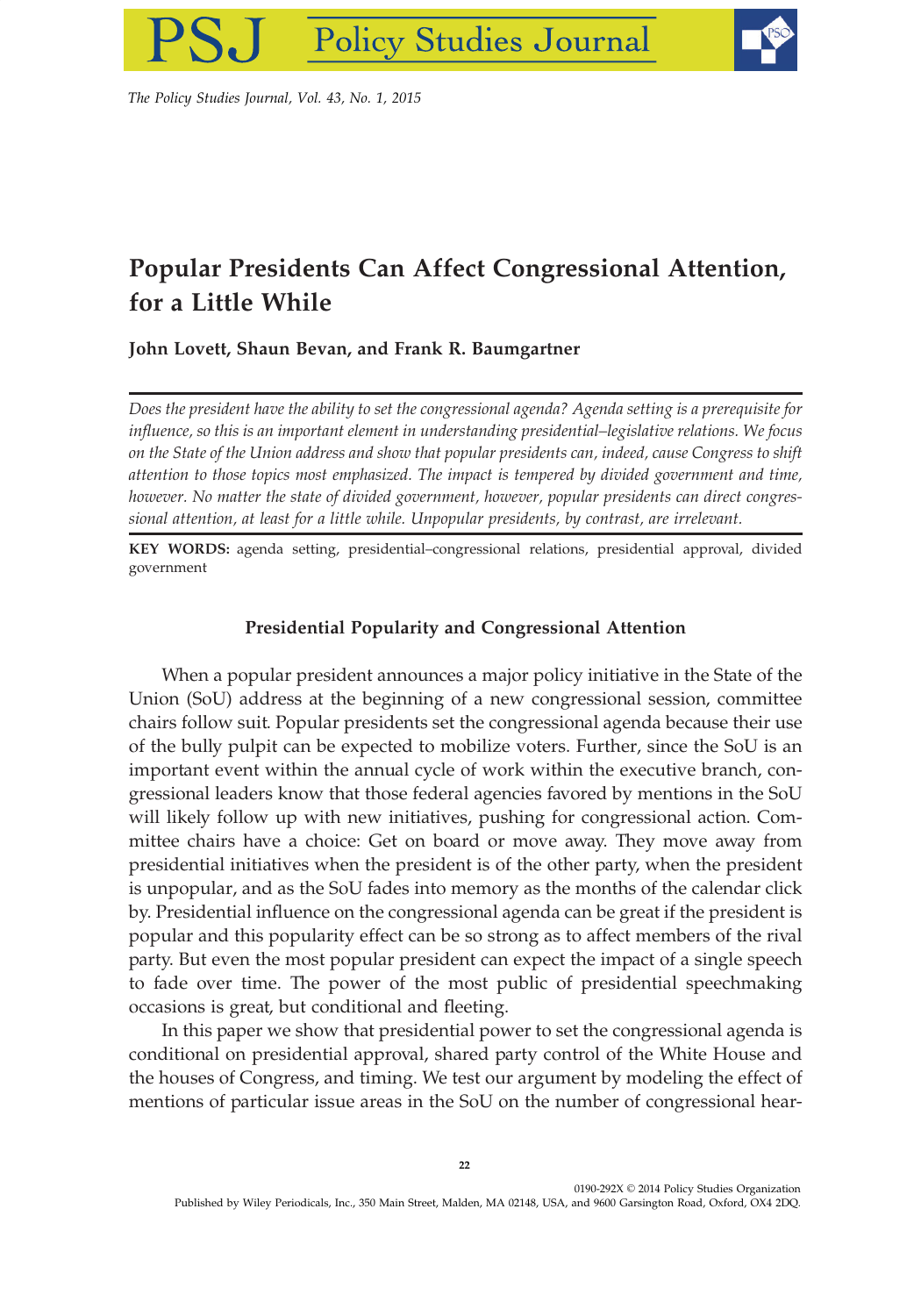

*The Policy Studies Journal, Vol. ••, No. ••, 2014* The Policy Studies Journal, Vol. 43, No. 1, 2015

# **Popular Presidents Can Affect Congressional Attention, for a Little While**

**John Lovett, Shaun Bevan, and Frank R. Baumgartner**

*Does the president have the ability to set the congressional agenda? Agenda setting is a prerequisite for influence, so this is an important element in understanding presidential–legislative relations. We focus on the State of the Union address and show that popular presidents can, indeed, cause Congress to shift attention to those topics most emphasized. The impact is tempered by divided government and time, however. No matter the state of divided government, however, popular presidents can direct congressional attention, at least for a little while. Unpopular presidents, by contrast, are irrelevant.*

**KEY WORDS:** agenda setting, presidential–congressional relations, presidential approval, divided government

# **Presidential Popularity and Congressional Attention**

When a popular president announces a major policy initiative in the State of the Union (SoU) address at the beginning of a new congressional session, committee chairs follow suit. Popular presidents set the congressional agenda because their use of the bully pulpit can be expected to mobilize voters. Further, since the SoU is an important event within the annual cycle of work within the executive branch, congressional leaders know that those federal agencies favored by mentions in the SoU will likely follow up with new initiatives, pushing for congressional action. Committee chairs have a choice: Get on board or move away. They move away from presidential initiatives when the president is of the other party, when the president is unpopular, and as the SoU fades into memory as the months of the calendar click by. Presidential influence on the congressional agenda can be great if the president is popular and this popularity effect can be so strong as to affect members of the rival party. But even the most popular president can expect the impact of a single speech to fade over time. The power of the most public of presidential speechmaking occasions is great, but conditional and fleeting.

In this paper we show that presidential power to set the congressional agenda is conditional on presidential approval, shared party control of the White House and the houses of Congress, and timing. We test our argument by modeling the effect of mentions of particular issue areas in the SoU on the number of congressional hear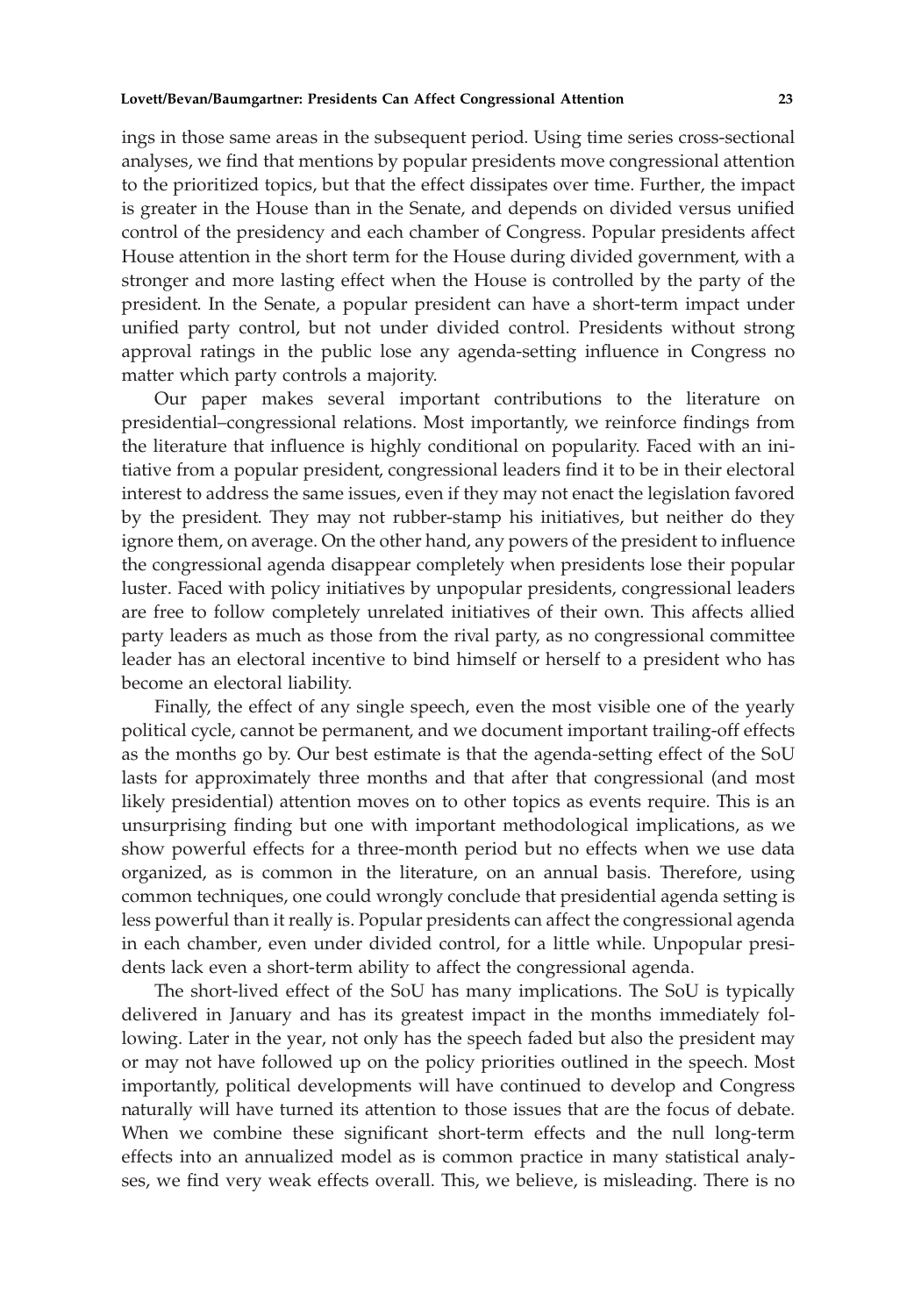ings in those same areas in the subsequent period. Using time series cross-sectional analyses, we find that mentions by popular presidents move congressional attention to the prioritized topics, but that the effect dissipates over time. Further, the impact is greater in the House than in the Senate, and depends on divided versus unified control of the presidency and each chamber of Congress. Popular presidents affect House attention in the short term for the House during divided government, with a stronger and more lasting effect when the House is controlled by the party of the president. In the Senate, a popular president can have a short-term impact under unified party control, but not under divided control. Presidents without strong approval ratings in the public lose any agenda-setting influence in Congress no matter which party controls a majority.

Our paper makes several important contributions to the literature on presidential–congressional relations. Most importantly, we reinforce findings from the literature that influence is highly conditional on popularity. Faced with an initiative from a popular president, congressional leaders find it to be in their electoral interest to address the same issues, even if they may not enact the legislation favored by the president. They may not rubber-stamp his initiatives, but neither do they ignore them, on average. On the other hand, any powers of the president to influence the congressional agenda disappear completely when presidents lose their popular luster. Faced with policy initiatives by unpopular presidents, congressional leaders are free to follow completely unrelated initiatives of their own. This affects allied party leaders as much as those from the rival party, as no congressional committee leader has an electoral incentive to bind himself or herself to a president who has become an electoral liability.

Finally, the effect of any single speech, even the most visible one of the yearly political cycle, cannot be permanent, and we document important trailing-off effects as the months go by. Our best estimate is that the agenda-setting effect of the SoU lasts for approximately three months and that after that congressional (and most likely presidential) attention moves on to other topics as events require. This is an unsurprising finding but one with important methodological implications, as we show powerful effects for a three-month period but no effects when we use data organized, as is common in the literature, on an annual basis. Therefore, using common techniques, one could wrongly conclude that presidential agenda setting is less powerful than it really is. Popular presidents can affect the congressional agenda in each chamber, even under divided control, for a little while. Unpopular presidents lack even a short-term ability to affect the congressional agenda.

The short-lived effect of the SoU has many implications. The SoU is typically delivered in January and has its greatest impact in the months immediately following. Later in the year, not only has the speech faded but also the president may or may not have followed up on the policy priorities outlined in the speech. Most importantly, political developments will have continued to develop and Congress naturally will have turned its attention to those issues that are the focus of debate. When we combine these significant short-term effects and the null long-term effects into an annualized model as is common practice in many statistical analyses, we find very weak effects overall. This, we believe, is misleading. There is no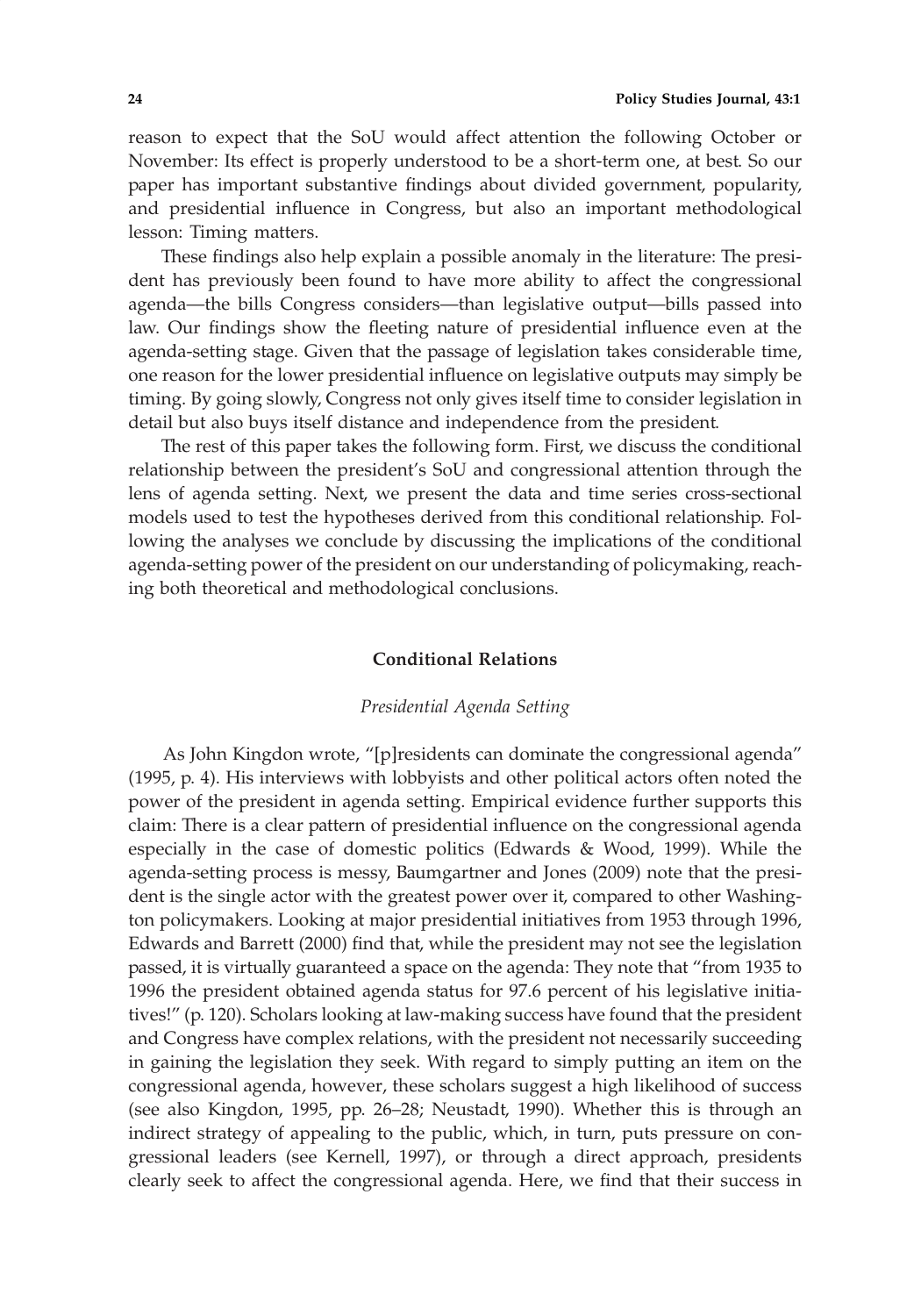reason to expect that the SoU would affect attention the following October or November: Its effect is properly understood to be a short-term one, at best. So our paper has important substantive findings about divided government, popularity, and presidential influence in Congress, but also an important methodological lesson: Timing matters.

These findings also help explain a possible anomaly in the literature: The president has previously been found to have more ability to affect the congressional agenda—the bills Congress considers—than legislative output—bills passed into law. Our findings show the fleeting nature of presidential influence even at the agenda-setting stage. Given that the passage of legislation takes considerable time, one reason for the lower presidential influence on legislative outputs may simply be timing. By going slowly, Congress not only gives itself time to consider legislation in detail but also buys itself distance and independence from the president.

The rest of this paper takes the following form. First, we discuss the conditional relationship between the president's SoU and congressional attention through the lens of agenda setting. Next, we present the data and time series cross-sectional models used to test the hypotheses derived from this conditional relationship. Following the analyses we conclude by discussing the implications of the conditional agenda-setting power of the president on our understanding of policymaking, reaching both theoretical and methodological conclusions.

## **Conditional Relations**

## *Presidential Agenda Setting*

As John Kingdon wrote, "[p]residents can dominate the congressional agenda" (1995, p. 4). His interviews with lobbyists and other political actors often noted the power of the president in agenda setting. Empirical evidence further supports this claim: There is a clear pattern of presidential influence on the congressional agenda especially in the case of domestic politics (Edwards & Wood, 1999). While the agenda-setting process is messy, Baumgartner and Jones (2009) note that the president is the single actor with the greatest power over it, compared to other Washington policymakers. Looking at major presidential initiatives from 1953 through 1996, Edwards and Barrett (2000) find that, while the president may not see the legislation passed, it is virtually guaranteed a space on the agenda: They note that "from 1935 to 1996 the president obtained agenda status for 97.6 percent of his legislative initiatives!" (p. 120). Scholars looking at law-making success have found that the president and Congress have complex relations, with the president not necessarily succeeding in gaining the legislation they seek. With regard to simply putting an item on the congressional agenda, however, these scholars suggest a high likelihood of success (see also Kingdon, 1995, pp. 26–28; Neustadt, 1990). Whether this is through an indirect strategy of appealing to the public, which, in turn, puts pressure on congressional leaders (see Kernell, 1997), or through a direct approach, presidents clearly seek to affect the congressional agenda. Here, we find that their success in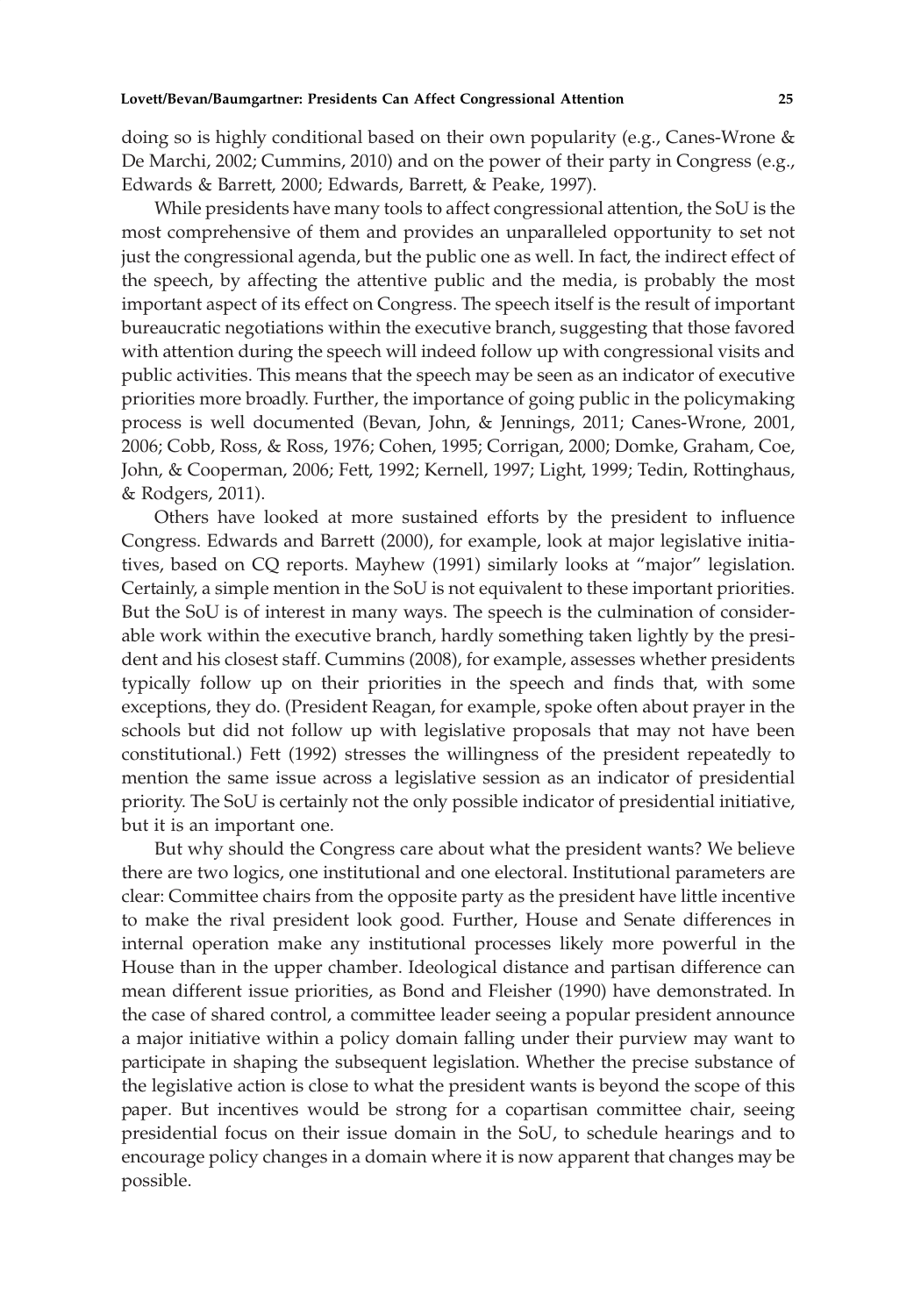doing so is highly conditional based on their own popularity (e.g., Canes-Wrone & De Marchi, 2002; Cummins, 2010) and on the power of their party in Congress (e.g., Edwards & Barrett, 2000; Edwards, Barrett, & Peake, 1997).

While presidents have many tools to affect congressional attention, the SoU is the most comprehensive of them and provides an unparalleled opportunity to set not just the congressional agenda, but the public one as well. In fact, the indirect effect of the speech, by affecting the attentive public and the media, is probably the most important aspect of its effect on Congress. The speech itself is the result of important bureaucratic negotiations within the executive branch, suggesting that those favored with attention during the speech will indeed follow up with congressional visits and public activities. This means that the speech may be seen as an indicator of executive priorities more broadly. Further, the importance of going public in the policymaking process is well documented (Bevan, John, & Jennings, 2011; Canes-Wrone, 2001, 2006; Cobb, Ross, & Ross, 1976; Cohen, 1995; Corrigan, 2000; Domke, Graham, Coe, John, & Cooperman, 2006; Fett, 1992; Kernell, 1997; Light, 1999; Tedin, Rottinghaus, & Rodgers, 2011).

Others have looked at more sustained efforts by the president to influence Congress. Edwards and Barrett (2000), for example, look at major legislative initiatives, based on CQ reports. Mayhew (1991) similarly looks at "major" legislation. Certainly, a simple mention in the SoU is not equivalent to these important priorities. But the SoU is of interest in many ways. The speech is the culmination of considerable work within the executive branch, hardly something taken lightly by the president and his closest staff. Cummins (2008), for example, assesses whether presidents typically follow up on their priorities in the speech and finds that, with some exceptions, they do. (President Reagan, for example, spoke often about prayer in the schools but did not follow up with legislative proposals that may not have been constitutional.) Fett (1992) stresses the willingness of the president repeatedly to mention the same issue across a legislative session as an indicator of presidential priority. The SoU is certainly not the only possible indicator of presidential initiative, but it is an important one.

But why should the Congress care about what the president wants? We believe there are two logics, one institutional and one electoral. Institutional parameters are clear: Committee chairs from the opposite party as the president have little incentive to make the rival president look good. Further, House and Senate differences in internal operation make any institutional processes likely more powerful in the House than in the upper chamber. Ideological distance and partisan difference can mean different issue priorities, as Bond and Fleisher (1990) have demonstrated. In the case of shared control, a committee leader seeing a popular president announce a major initiative within a policy domain falling under their purview may want to participate in shaping the subsequent legislation. Whether the precise substance of the legislative action is close to what the president wants is beyond the scope of this paper. But incentives would be strong for a copartisan committee chair, seeing presidential focus on their issue domain in the SoU, to schedule hearings and to encourage policy changes in a domain where it is now apparent that changes may be possible.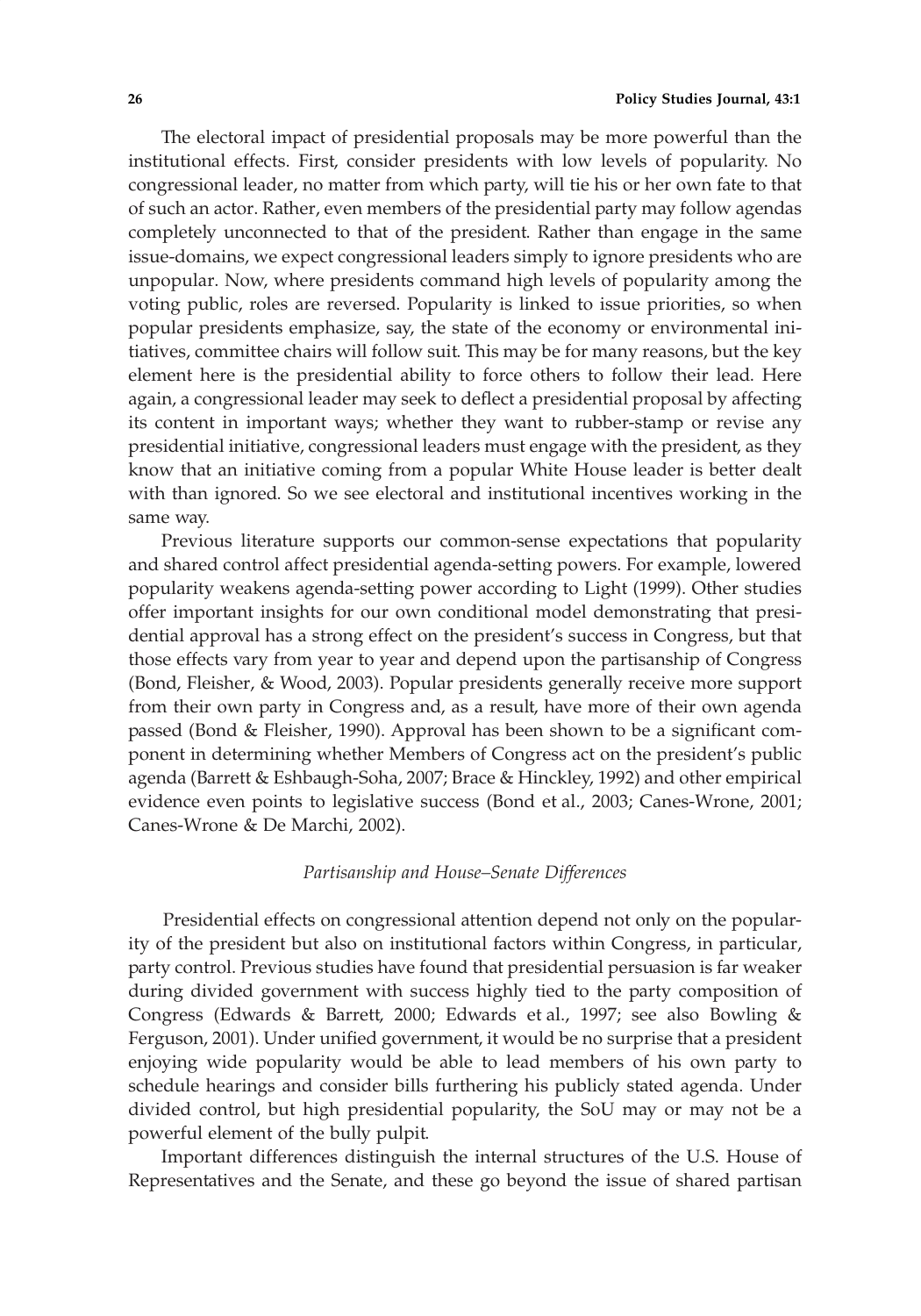The electoral impact of presidential proposals may be more powerful than the institutional effects. First, consider presidents with low levels of popularity. No congressional leader, no matter from which party, will tie his or her own fate to that of such an actor. Rather, even members of the presidential party may follow agendas completely unconnected to that of the president. Rather than engage in the same issue-domains, we expect congressional leaders simply to ignore presidents who are unpopular. Now, where presidents command high levels of popularity among the voting public, roles are reversed. Popularity is linked to issue priorities, so when popular presidents emphasize, say, the state of the economy or environmental initiatives, committee chairs will follow suit. This may be for many reasons, but the key element here is the presidential ability to force others to follow their lead. Here again, a congressional leader may seek to deflect a presidential proposal by affecting its content in important ways; whether they want to rubber-stamp or revise any presidential initiative, congressional leaders must engage with the president, as they know that an initiative coming from a popular White House leader is better dealt with than ignored. So we see electoral and institutional incentives working in the same way.

Previous literature supports our common-sense expectations that popularity and shared control affect presidential agenda-setting powers. For example, lowered popularity weakens agenda-setting power according to Light (1999). Other studies offer important insights for our own conditional model demonstrating that presidential approval has a strong effect on the president's success in Congress, but that those effects vary from year to year and depend upon the partisanship of Congress (Bond, Fleisher, & Wood, 2003). Popular presidents generally receive more support from their own party in Congress and, as a result, have more of their own agenda passed (Bond & Fleisher, 1990). Approval has been shown to be a significant component in determining whether Members of Congress act on the president's public agenda (Barrett & Eshbaugh-Soha, 2007; Brace & Hinckley, 1992) and other empirical evidence even points to legislative success (Bond et al., 2003; Canes-Wrone, 2001; Canes-Wrone & De Marchi, 2002).

## *Partisanship and House–Senate Differences*

Presidential effects on congressional attention depend not only on the popularity of the president but also on institutional factors within Congress, in particular, party control. Previous studies have found that presidential persuasion is far weaker during divided government with success highly tied to the party composition of Congress (Edwards & Barrett, 2000; Edwards et al., 1997; see also Bowling & Ferguson, 2001). Under unified government, it would be no surprise that a president enjoying wide popularity would be able to lead members of his own party to schedule hearings and consider bills furthering his publicly stated agenda. Under divided control, but high presidential popularity, the SoU may or may not be a powerful element of the bully pulpit.

Important differences distinguish the internal structures of the U.S. House of Representatives and the Senate, and these go beyond the issue of shared partisan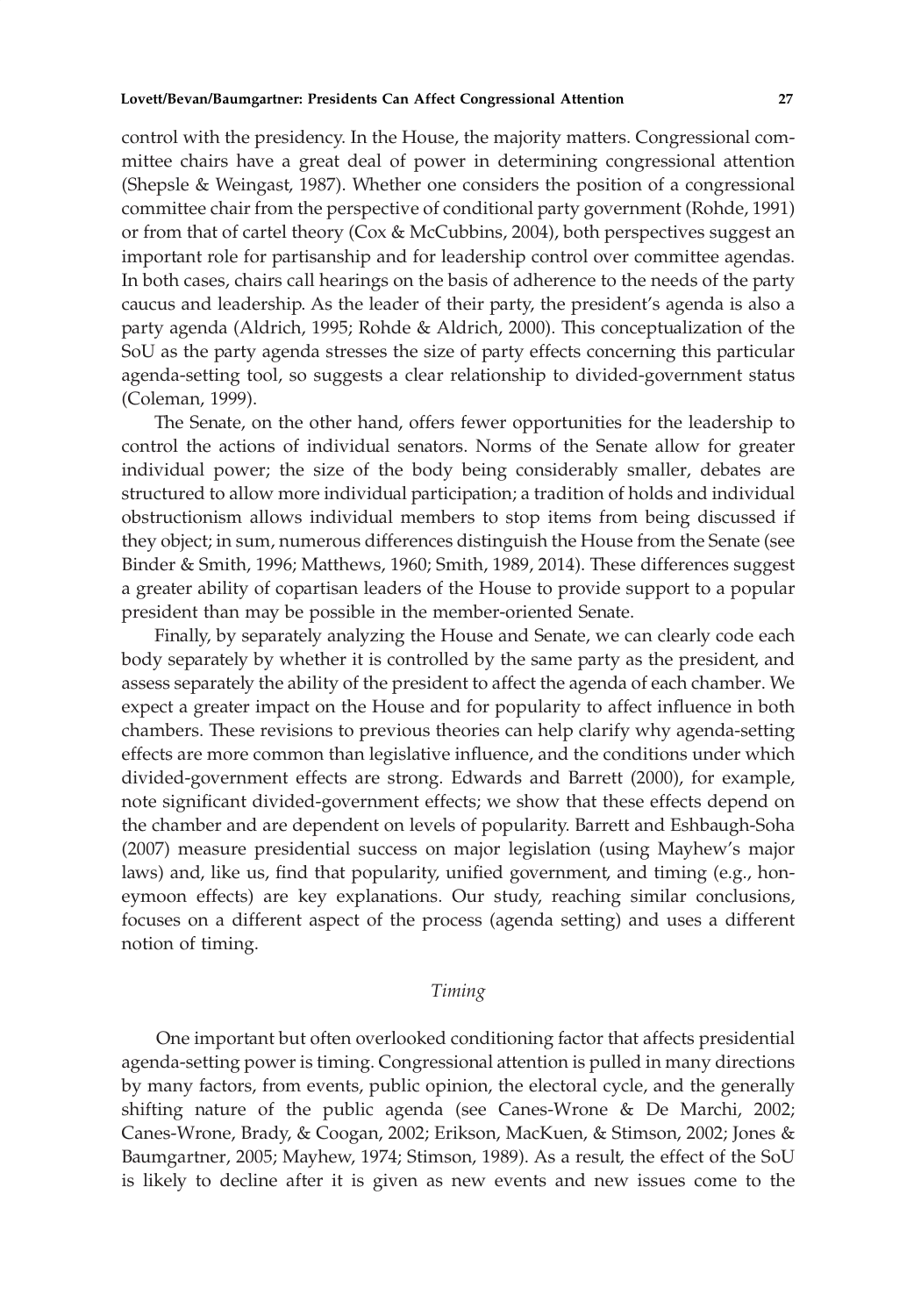control with the presidency. In the House, the majority matters. Congressional committee chairs have a great deal of power in determining congressional attention (Shepsle & Weingast, 1987). Whether one considers the position of a congressional committee chair from the perspective of conditional party government (Rohde, 1991) or from that of cartel theory (Cox & McCubbins, 2004), both perspectives suggest an important role for partisanship and for leadership control over committee agendas. In both cases, chairs call hearings on the basis of adherence to the needs of the party caucus and leadership. As the leader of their party, the president's agenda is also a party agenda (Aldrich, 1995; Rohde & Aldrich, 2000). This conceptualization of the SoU as the party agenda stresses the size of party effects concerning this particular agenda-setting tool, so suggests a clear relationship to divided-government status (Coleman, 1999).

The Senate, on the other hand, offers fewer opportunities for the leadership to control the actions of individual senators. Norms of the Senate allow for greater individual power; the size of the body being considerably smaller, debates are structured to allow more individual participation; a tradition of holds and individual obstructionism allows individual members to stop items from being discussed if they object; in sum, numerous differences distinguish the House from the Senate (see Binder & Smith, 1996; Matthews, 1960; Smith, 1989, 2014). These differences suggest a greater ability of copartisan leaders of the House to provide support to a popular president than may be possible in the member-oriented Senate.

Finally, by separately analyzing the House and Senate, we can clearly code each body separately by whether it is controlled by the same party as the president, and assess separately the ability of the president to affect the agenda of each chamber. We expect a greater impact on the House and for popularity to affect influence in both chambers. These revisions to previous theories can help clarify why agenda-setting effects are more common than legislative influence, and the conditions under which divided-government effects are strong. Edwards and Barrett (2000), for example, note significant divided-government effects; we show that these effects depend on the chamber and are dependent on levels of popularity. Barrett and Eshbaugh-Soha (2007) measure presidential success on major legislation (using Mayhew's major laws) and, like us, find that popularity, unified government, and timing (e.g., honeymoon effects) are key explanations. Our study, reaching similar conclusions, focuses on a different aspect of the process (agenda setting) and uses a different notion of timing.

# *Timing*

One important but often overlooked conditioning factor that affects presidential agenda-setting power is timing. Congressional attention is pulled in many directions by many factors, from events, public opinion, the electoral cycle, and the generally shifting nature of the public agenda (see Canes-Wrone & De Marchi, 2002; Canes-Wrone, Brady, & Coogan, 2002; Erikson, MacKuen, & Stimson, 2002; Jones & Baumgartner, 2005; Mayhew, 1974; Stimson, 1989). As a result, the effect of the SoU is likely to decline after it is given as new events and new issues come to the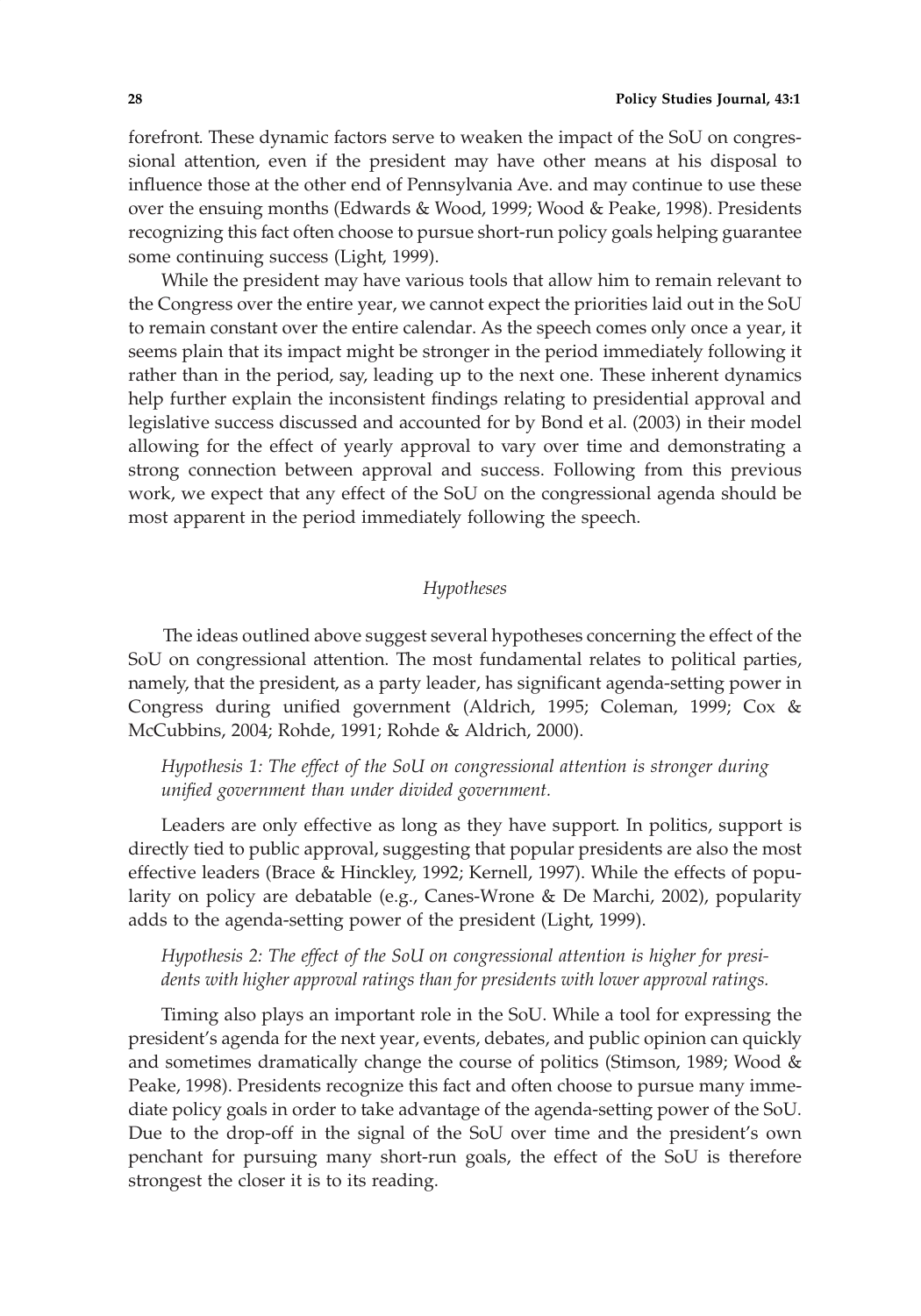forefront. These dynamic factors serve to weaken the impact of the SoU on congressional attention, even if the president may have other means at his disposal to influence those at the other end of Pennsylvania Ave. and may continue to use these over the ensuing months (Edwards & Wood, 1999; Wood & Peake, 1998). Presidents recognizing this fact often choose to pursue short-run policy goals helping guarantee some continuing success (Light, 1999).

While the president may have various tools that allow him to remain relevant to the Congress over the entire year, we cannot expect the priorities laid out in the SoU to remain constant over the entire calendar. As the speech comes only once a year, it seems plain that its impact might be stronger in the period immediately following it rather than in the period, say, leading up to the next one. These inherent dynamics help further explain the inconsistent findings relating to presidential approval and legislative success discussed and accounted for by Bond et al. (2003) in their model allowing for the effect of yearly approval to vary over time and demonstrating a strong connection between approval and success. Following from this previous work, we expect that any effect of the SoU on the congressional agenda should be most apparent in the period immediately following the speech.

## *Hypotheses*

The ideas outlined above suggest several hypotheses concerning the effect of the SoU on congressional attention. The most fundamental relates to political parties, namely, that the president, as a party leader, has significant agenda-setting power in Congress during unified government (Aldrich, 1995; Coleman, 1999; Cox & McCubbins, 2004; Rohde, 1991; Rohde & Aldrich, 2000).

# *Hypothesis 1: The effect of the SoU on congressional attention is stronger during unified government than under divided government.*

Leaders are only effective as long as they have support. In politics, support is directly tied to public approval, suggesting that popular presidents are also the most effective leaders (Brace & Hinckley, 1992; Kernell, 1997). While the effects of popularity on policy are debatable (e.g., Canes-Wrone & De Marchi, 2002), popularity adds to the agenda-setting power of the president (Light, 1999).

# *Hypothesis 2: The effect of the SoU on congressional attention is higher for presidents with higher approval ratings than for presidents with lower approval ratings.*

Timing also plays an important role in the SoU. While a tool for expressing the president's agenda for the next year, events, debates, and public opinion can quickly and sometimes dramatically change the course of politics (Stimson, 1989; Wood & Peake, 1998). Presidents recognize this fact and often choose to pursue many immediate policy goals in order to take advantage of the agenda-setting power of the SoU. Due to the drop-off in the signal of the SoU over time and the president's own penchant for pursuing many short-run goals, the effect of the SoU is therefore strongest the closer it is to its reading.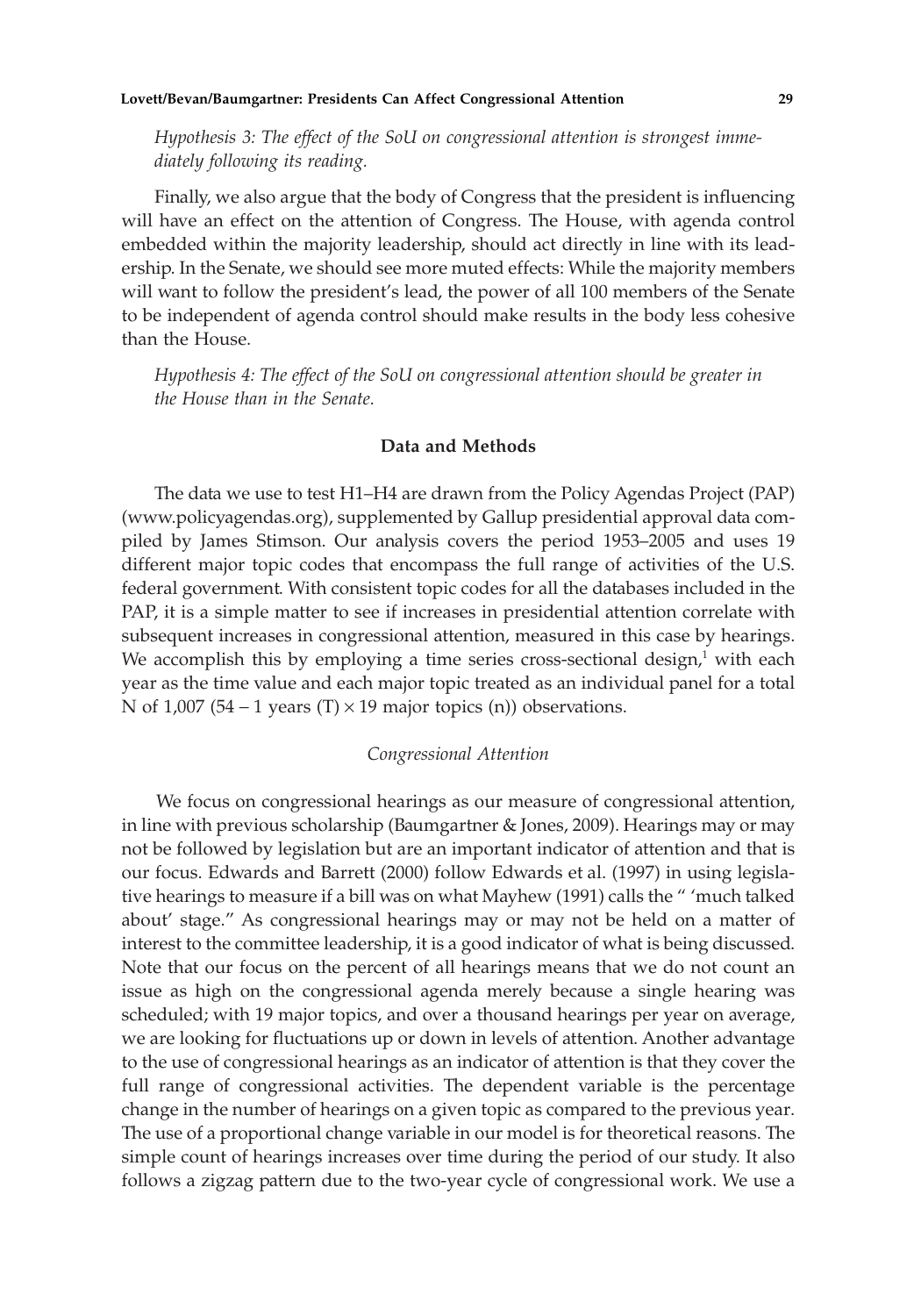*Hypothesis 3: The effect of the SoU on congressional attention is strongest immediately following its reading.*

Finally, we also argue that the body of Congress that the president is influencing will have an effect on the attention of Congress. The House, with agenda control embedded within the majority leadership, should act directly in line with its leadership. In the Senate, we should see more muted effects: While the majority members will want to follow the president's lead, the power of all 100 members of the Senate to be independent of agenda control should make results in the body less cohesive than the House.

*Hypothesis 4: The effect of the SoU on congressional attention should be greater in the House than in the Senate.*

## **Data and Methods**

The data we use to test H1–H4 are drawn from the Policy Agendas Project (PAP) (www.policyagendas.org), supplemented by Gallup presidential approval data compiled by James Stimson. Our analysis covers the period 1953–2005 and uses 19 different major topic codes that encompass the full range of activities of the U.S. federal government. With consistent topic codes for all the databases included in the PAP, it is a simple matter to see if increases in presidential attention correlate with subsequent increases in congressional attention, measured in this case by hearings. We accomplish this by employing a time series cross-sectional design, $1$  with each year as the time value and each major topic treated as an individual panel for a total N of 1,007 (54 − 1 years (T)  $\times$  19 major topics (n)) observations.

#### *Congressional Attention*

We focus on congressional hearings as our measure of congressional attention, in line with previous scholarship (Baumgartner & Jones, 2009). Hearings may or may not be followed by legislation but are an important indicator of attention and that is our focus. Edwards and Barrett (2000) follow Edwards et al. (1997) in using legislative hearings to measure if a bill was on what Mayhew (1991) calls the " 'much talked about' stage." As congressional hearings may or may not be held on a matter of interest to the committee leadership, it is a good indicator of what is being discussed. Note that our focus on the percent of all hearings means that we do not count an issue as high on the congressional agenda merely because a single hearing was scheduled; with 19 major topics, and over a thousand hearings per year on average, we are looking for fluctuations up or down in levels of attention. Another advantage to the use of congressional hearings as an indicator of attention is that they cover the full range of congressional activities. The dependent variable is the percentage change in the number of hearings on a given topic as compared to the previous year. The use of a proportional change variable in our model is for theoretical reasons. The simple count of hearings increases over time during the period of our study. It also follows a zigzag pattern due to the two-year cycle of congressional work. We use a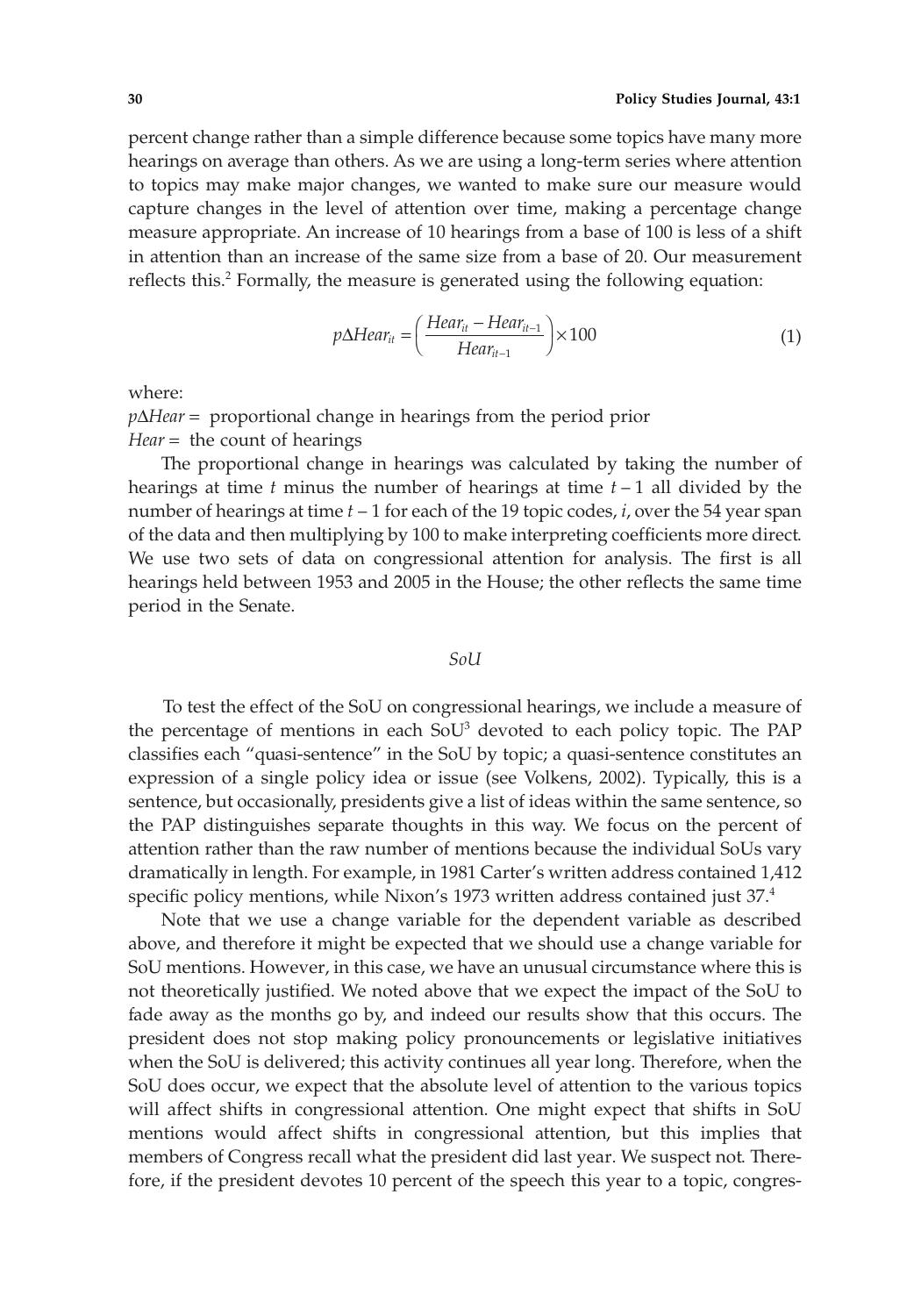percent change rather than a simple difference because some topics have many more hearings on average than others. As we are using a long-term series where attention to topics may make major changes, we wanted to make sure our measure would capture changes in the level of attention over time, making a percentage change measure appropriate. An increase of 10 hearings from a base of 100 is less of a shift in attention than an increase of the same size from a base of 20. Our measurement reflects this.<sup>2</sup> Formally, the measure is generated using the following equation:

$$
p\Delta Hear_{it} = \left(\frac{Hear_{it} - Hear_{it-1}}{Hear_{it-1}}\right) \times 100\tag{1}
$$

where:

*p*Δ*Hear* = proportional change in hearings from the period prior *Hear* = the count of hearings

The proportional change in hearings was calculated by taking the number of hearings at time *t* minus the number of hearings at time *t* – 1 all divided by the number of hearings at time *t* – 1 for each of the 19 topic codes, *i*, over the 54 year span of the data and then multiplying by 100 to make interpreting coefficients more direct. We use two sets of data on congressional attention for analysis. The first is all hearings held between 1953 and 2005 in the House; the other reflects the same time period in the Senate.

#### *SoU*

To test the effect of the SoU on congressional hearings, we include a measure of the percentage of mentions in each  $SoU<sup>3</sup>$  devoted to each policy topic. The PAP classifies each "quasi-sentence" in the SoU by topic; a quasi-sentence constitutes an expression of a single policy idea or issue (see Volkens, 2002). Typically, this is a sentence, but occasionally, presidents give a list of ideas within the same sentence, so the PAP distinguishes separate thoughts in this way. We focus on the percent of attention rather than the raw number of mentions because the individual SoUs vary dramatically in length. For example, in 1981 Carter's written address contained 1,412 specific policy mentions, while Nixon's 1973 written address contained just 37.4

Note that we use a change variable for the dependent variable as described above, and therefore it might be expected that we should use a change variable for SoU mentions. However, in this case, we have an unusual circumstance where this is not theoretically justified. We noted above that we expect the impact of the SoU to fade away as the months go by, and indeed our results show that this occurs. The president does not stop making policy pronouncements or legislative initiatives when the SoU is delivered; this activity continues all year long. Therefore, when the SoU does occur, we expect that the absolute level of attention to the various topics will affect shifts in congressional attention. One might expect that shifts in SoU mentions would affect shifts in congressional attention, but this implies that members of Congress recall what the president did last year. We suspect not. Therefore, if the president devotes 10 percent of the speech this year to a topic, congres-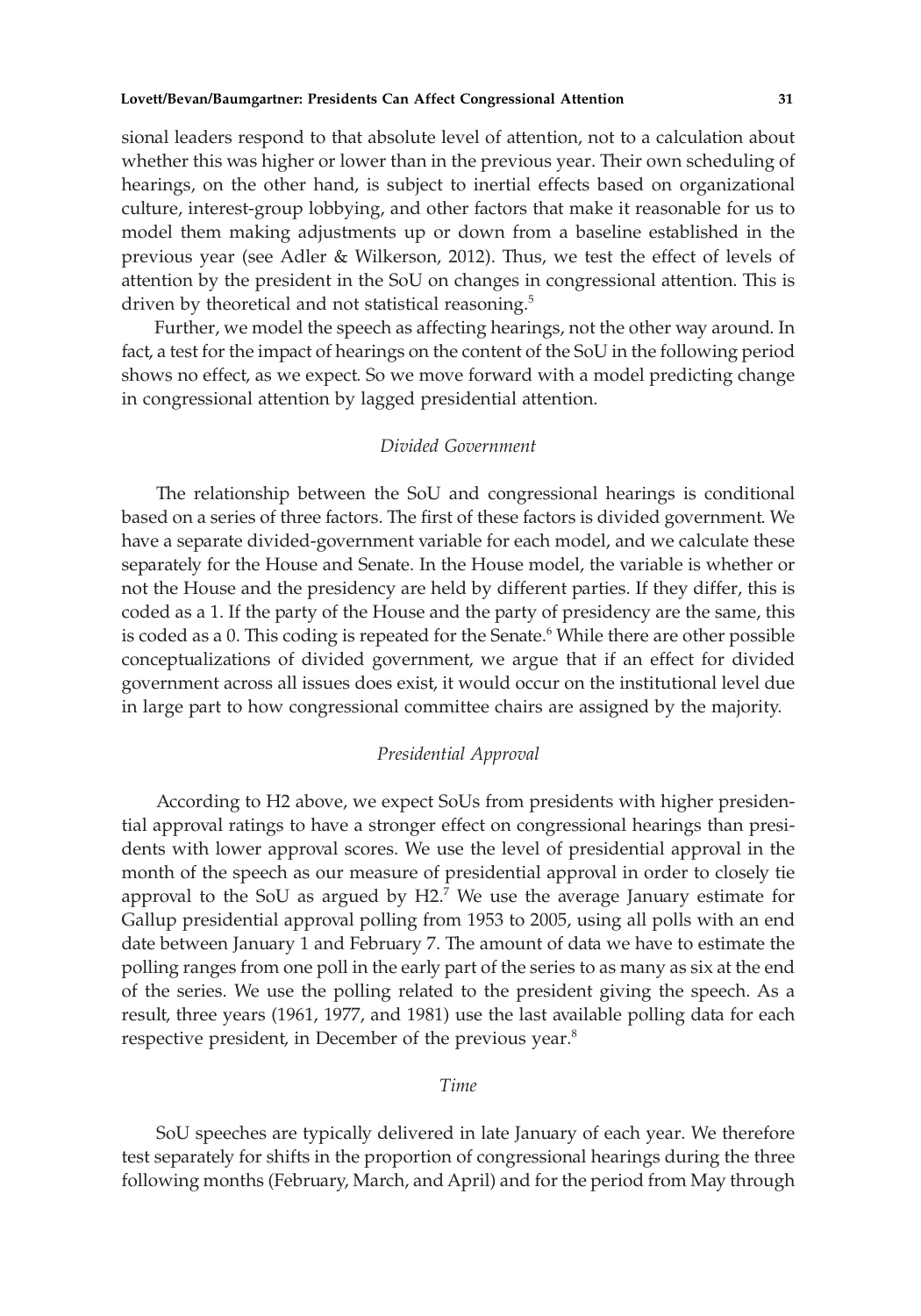sional leaders respond to that absolute level of attention, not to a calculation about whether this was higher or lower than in the previous year. Their own scheduling of hearings, on the other hand, is subject to inertial effects based on organizational culture, interest-group lobbying, and other factors that make it reasonable for us to model them making adjustments up or down from a baseline established in the previous year (see Adler & Wilkerson, 2012). Thus, we test the effect of levels of attention by the president in the SoU on changes in congressional attention. This is driven by theoretical and not statistical reasoning.<sup>5</sup>

Further, we model the speech as affecting hearings, not the other way around. In fact, a test for the impact of hearings on the content of the SoU in the following period shows no effect, as we expect. So we move forward with a model predicting change in congressional attention by lagged presidential attention.

## *Divided Government*

The relationship between the SoU and congressional hearings is conditional based on a series of three factors. The first of these factors is divided government. We have a separate divided-government variable for each model, and we calculate these separately for the House and Senate. In the House model, the variable is whether or not the House and the presidency are held by different parties. If they differ, this is coded as a 1. If the party of the House and the party of presidency are the same, this is coded as a 0. This coding is repeated for the Senate.<sup>6</sup> While there are other possible conceptualizations of divided government, we argue that if an effect for divided government across all issues does exist, it would occur on the institutional level due in large part to how congressional committee chairs are assigned by the majority.

## *Presidential Approval*

According to H2 above, we expect SoUs from presidents with higher presidential approval ratings to have a stronger effect on congressional hearings than presidents with lower approval scores. We use the level of presidential approval in the month of the speech as our measure of presidential approval in order to closely tie approval to the SoU as argued by H2.7 We use the average January estimate for Gallup presidential approval polling from 1953 to 2005, using all polls with an end date between January 1 and February 7. The amount of data we have to estimate the polling ranges from one poll in the early part of the series to as many as six at the end of the series. We use the polling related to the president giving the speech. As a result, three years (1961, 1977, and 1981) use the last available polling data for each respective president, in December of the previous year.<sup>8</sup>

## *Time*

SoU speeches are typically delivered in late January of each year. We therefore test separately for shifts in the proportion of congressional hearings during the three following months (February, March, and April) and for the period from May through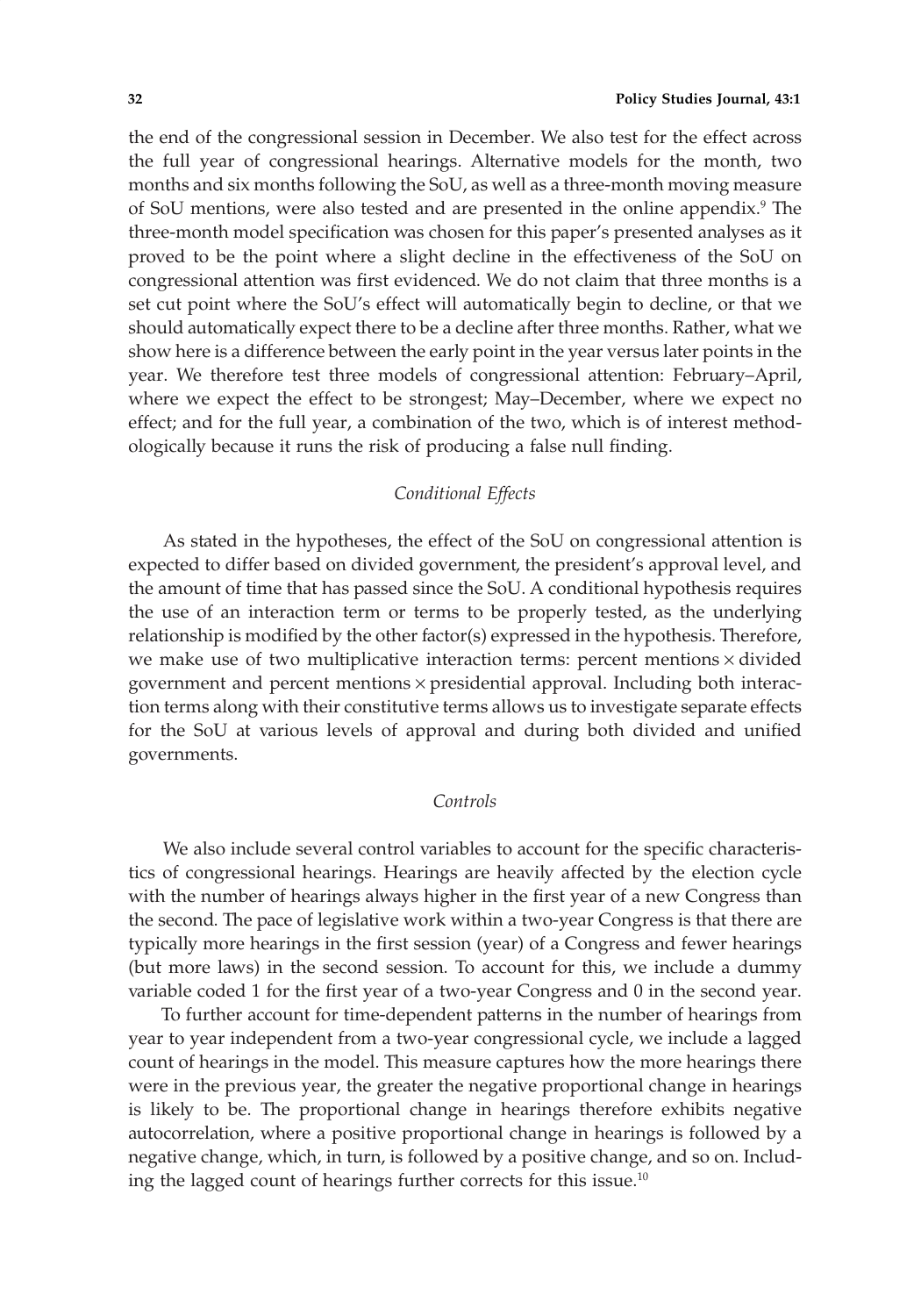the end of the congressional session in December. We also test for the effect across the full year of congressional hearings. Alternative models for the month, two months and six months following the SoU, as well as a three-month moving measure of SoU mentions, were also tested and are presented in the online appendix.9 The three-month model specification was chosen for this paper's presented analyses as it proved to be the point where a slight decline in the effectiveness of the SoU on congressional attention was first evidenced. We do not claim that three months is a set cut point where the SoU's effect will automatically begin to decline, or that we should automatically expect there to be a decline after three months. Rather, what we show here is a difference between the early point in the year versus later points in the year. We therefore test three models of congressional attention: February–April, where we expect the effect to be strongest; May–December, where we expect no effect; and for the full year, a combination of the two, which is of interest methodologically because it runs the risk of producing a false null finding.

# *Conditional Effects*

As stated in the hypotheses, the effect of the SoU on congressional attention is expected to differ based on divided government, the president's approval level, and the amount of time that has passed since the SoU. A conditional hypothesis requires the use of an interaction term or terms to be properly tested, as the underlying relationship is modified by the other factor(s) expressed in the hypothesis. Therefore, we make use of two multiplicative interaction terms: percent mentions × divided government and percent mentions × presidential approval. Including both interaction terms along with their constitutive terms allows us to investigate separate effects for the SoU at various levels of approval and during both divided and unified governments.

## *Controls*

We also include several control variables to account for the specific characteristics of congressional hearings. Hearings are heavily affected by the election cycle with the number of hearings always higher in the first year of a new Congress than the second. The pace of legislative work within a two-year Congress is that there are typically more hearings in the first session (year) of a Congress and fewer hearings (but more laws) in the second session. To account for this, we include a dummy variable coded 1 for the first year of a two-year Congress and 0 in the second year.

To further account for time-dependent patterns in the number of hearings from year to year independent from a two-year congressional cycle, we include a lagged count of hearings in the model. This measure captures how the more hearings there were in the previous year, the greater the negative proportional change in hearings is likely to be. The proportional change in hearings therefore exhibits negative autocorrelation, where a positive proportional change in hearings is followed by a negative change, which, in turn, is followed by a positive change, and so on. Including the lagged count of hearings further corrects for this issue.<sup>10</sup>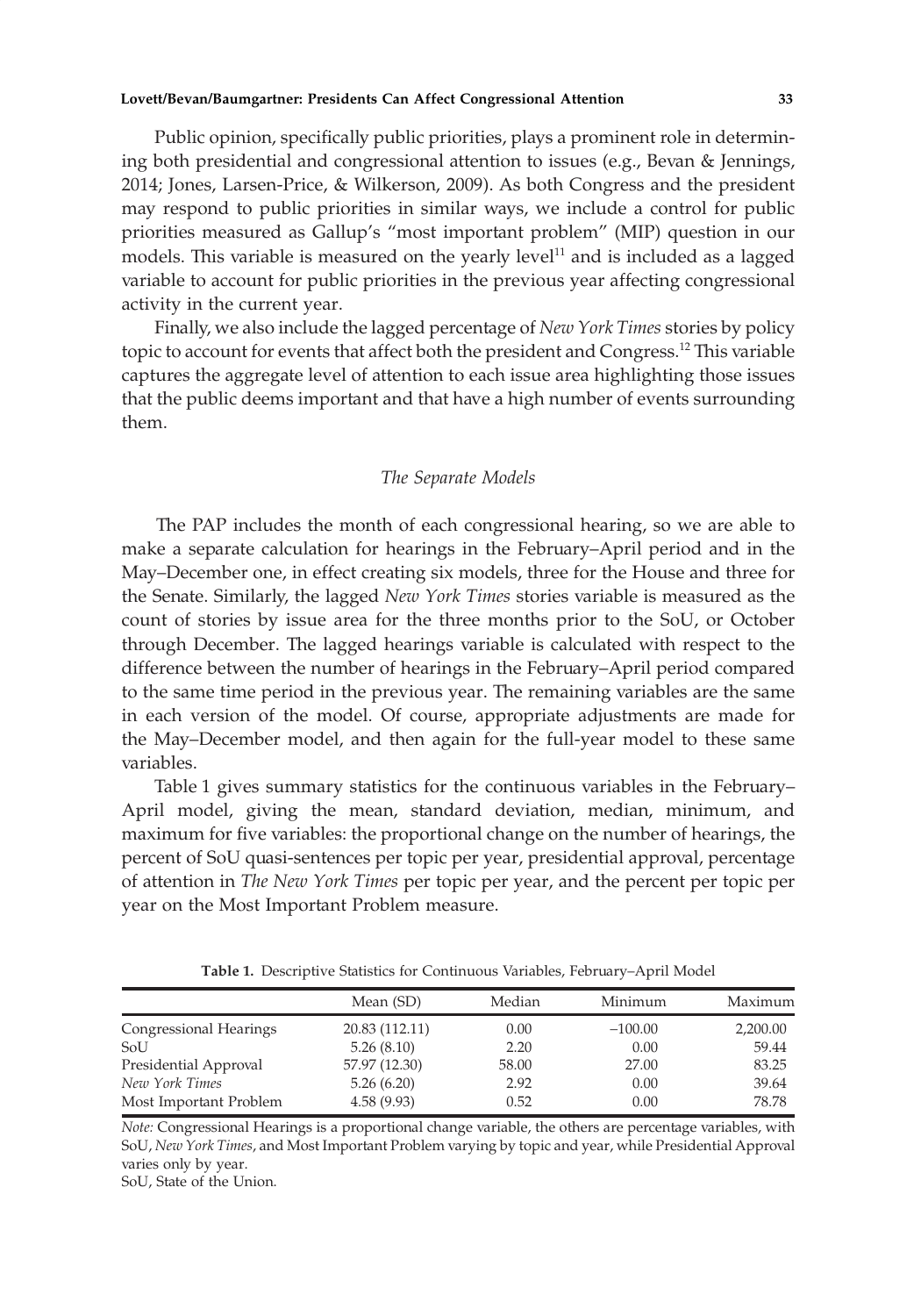Public opinion, specifically public priorities, plays a prominent role in determining both presidential and congressional attention to issues (e.g., Bevan & Jennings, 2014; Jones, Larsen-Price, & Wilkerson, 2009). As both Congress and the president may respond to public priorities in similar ways, we include a control for public priorities measured as Gallup's "most important problem" (MIP) question in our models. This variable is measured on the yearly level $11$  and is included as a lagged variable to account for public priorities in the previous year affecting congressional activity in the current year.

Finally, we also include the lagged percentage of *New York Times* stories by policy topic to account for events that affect both the president and Congress.<sup>12</sup> This variable captures the aggregate level of attention to each issue area highlighting those issues that the public deems important and that have a high number of events surrounding them.

#### *The Separate Models*

The PAP includes the month of each congressional hearing, so we are able to make a separate calculation for hearings in the February–April period and in the May–December one, in effect creating six models, three for the House and three for the Senate. Similarly, the lagged *New York Times* stories variable is measured as the count of stories by issue area for the three months prior to the SoU, or October through December. The lagged hearings variable is calculated with respect to the difference between the number of hearings in the February–April period compared to the same time period in the previous year. The remaining variables are the same in each version of the model. Of course, appropriate adjustments are made for the May–December model, and then again for the full-year model to these same variables.

Table 1 gives summary statistics for the continuous variables in the February– April model, giving the mean, standard deviation, median, minimum, and maximum for five variables: the proportional change on the number of hearings, the percent of SoU quasi-sentences per topic per year, presidential approval, percentage of attention in *The New York Times* per topic per year, and the percent per topic per year on the Most Important Problem measure.

|                        | Mean (SD)      | Median | Minimum   | Maximum  |
|------------------------|----------------|--------|-----------|----------|
| Congressional Hearings | 20.83 (112.11) | 0.00   | $-100.00$ | 2,200.00 |
| SoU                    | 5.26(8.10)     | 2.20   | 0.00      | 59.44    |
| Presidential Approval  | 57.97 (12.30)  | 58.00  | 27.00     | 83.25    |
| New York Times         | 5.26(6.20)     | 2.92   | 0.00      | 39.64    |
| Most Important Problem | 4.58(9.93)     | 0.52   | 0.00      | 78.78    |

**Table 1.** Descriptive Statistics for Continuous Variables, February–April Model

*Note:* Congressional Hearings is a proportional change variable, the others are percentage variables, with SoU, *New York Times*, and Most Important Problem varying by topic and year, while Presidential Approval varies only by year.

SoU, State of the Union.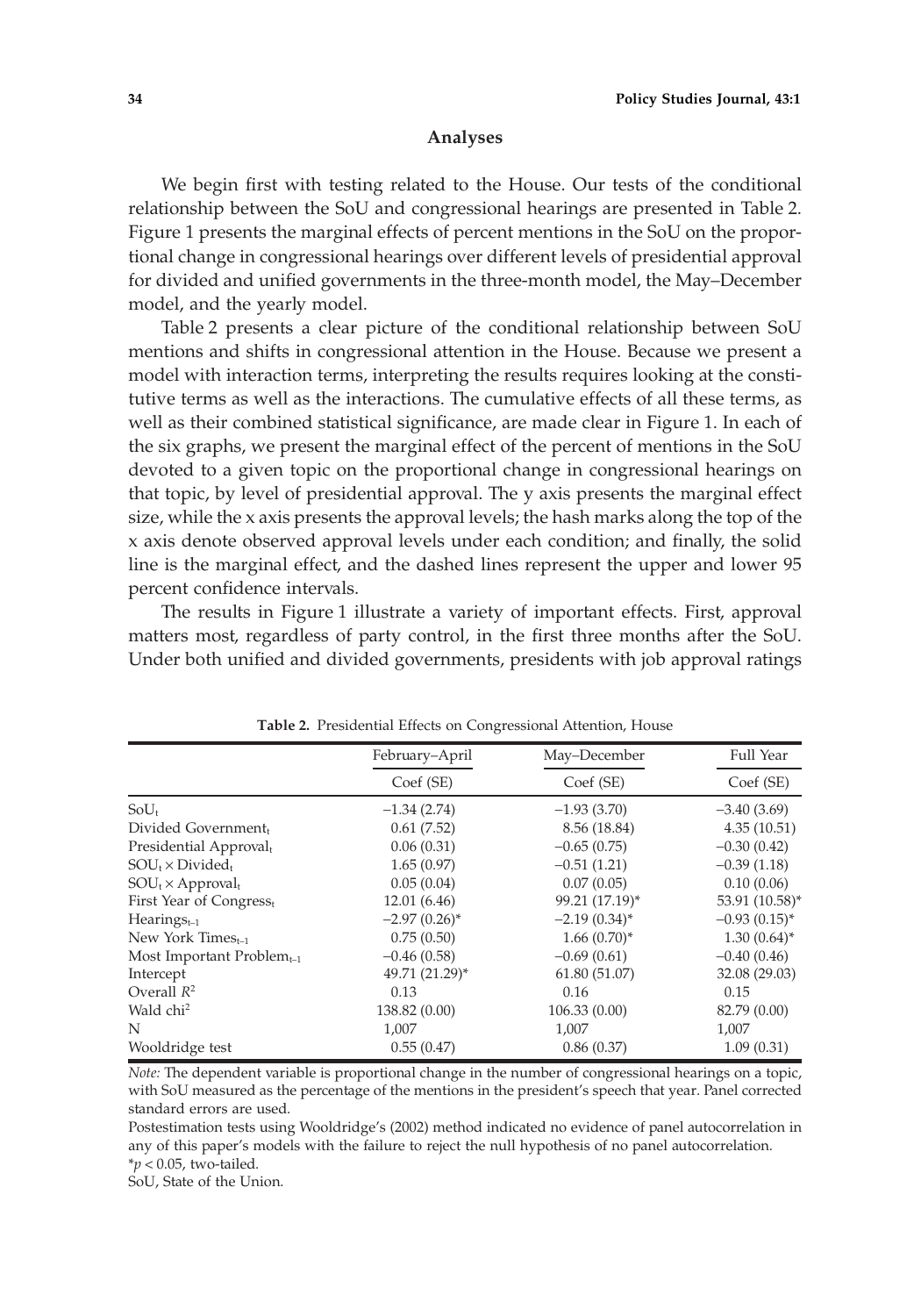#### **Analyses**

We begin first with testing related to the House. Our tests of the conditional relationship between the SoU and congressional hearings are presented in Table 2. Figure 1 presents the marginal effects of percent mentions in the SoU on the proportional change in congressional hearings over different levels of presidential approval for divided and unified governments in the three-month model, the May–December model, and the yearly model.

Table 2 presents a clear picture of the conditional relationship between SoU mentions and shifts in congressional attention in the House. Because we present a model with interaction terms, interpreting the results requires looking at the constitutive terms as well as the interactions. The cumulative effects of all these terms, as well as their combined statistical significance, are made clear in Figure 1. In each of the six graphs, we present the marginal effect of the percent of mentions in the SoU devoted to a given topic on the proportional change in congressional hearings on that topic, by level of presidential approval. The y axis presents the marginal effect size, while the x axis presents the approval levels; the hash marks along the top of the x axis denote observed approval levels under each condition; and finally, the solid line is the marginal effect, and the dashed lines represent the upper and lower 95 percent confidence intervals.

The results in Figure 1 illustrate a variety of important effects. First, approval matters most, regardless of party control, in the first three months after the SoU. Under both unified and divided governments, presidents with job approval ratings

|                                     | February-April  | May-December    | Full Year         |
|-------------------------------------|-----------------|-----------------|-------------------|
|                                     | Coef (SE)       | Coef (SE)       | Coef (SE)         |
| $SoU_{+}$                           | $-1.34(2.74)$   | $-1.93(3.70)$   | $-3.40(3.69)$     |
| Divided Government                  | 0.61(7.52)      | 8.56 (18.84)    | 4.35(10.51)       |
| Presidential Approval,              | 0.06(0.31)      | $-0.65(0.75)$   | $-0.30(0.42)$     |
| $SOU_t \times Divided_t$            | 1.65(0.97)      | $-0.51(1.21)$   | $-0.39(1.18)$     |
| $SOU_t \times Approval_t$           | 0.05(0.04)      | 0.07(0.05)      | 0.10(0.06)        |
| First Year of Congress <sub>t</sub> | 12.01(6.46)     | 99.21 (17.19)*  | 53.91 (10.58)*    |
| $Hearings_{t-1}$                    | $-2.97(0.26)^*$ | $-2.19(0.34)$ * | $-0.93(0.15)^{*}$ |
| New York Times $_{t-1}$             | 0.75(0.50)      | $1.66(0.70)$ *  | $1.30(0.64)$ *    |
| Most Important Problem $_{t-1}$     | $-0.46(0.58)$   | $-0.69(0.61)$   | $-0.40(0.46)$     |
| Intercept                           | 49.71 (21.29)*  | 61.80(51.07)    | 32.08 (29.03)     |
| Overall $R^2$                       | 0.13            | 0.16            | 0.15              |
| Wald chi <sup>2</sup>               | 138.82 (0.00)   | 106.33(0.00)    | 82.79 (0.00)      |
| N                                   | 1,007           | 1,007           | 1,007             |
| Wooldridge test                     | 0.55(0.47)      | 0.86(0.37)      | 1.09(0.31)        |

**Table 2.** Presidential Effects on Congressional Attention, House

*Note:* The dependent variable is proportional change in the number of congressional hearings on a topic, with SoU measured as the percentage of the mentions in the president's speech that year. Panel corrected standard errors are used.

Postestimation tests using Wooldridge's (2002) method indicated no evidence of panel autocorrelation in any of this paper's models with the failure to reject the null hypothesis of no panel autocorrelation. \**p* < 0.05, two-tailed.

SoU, State of the Union.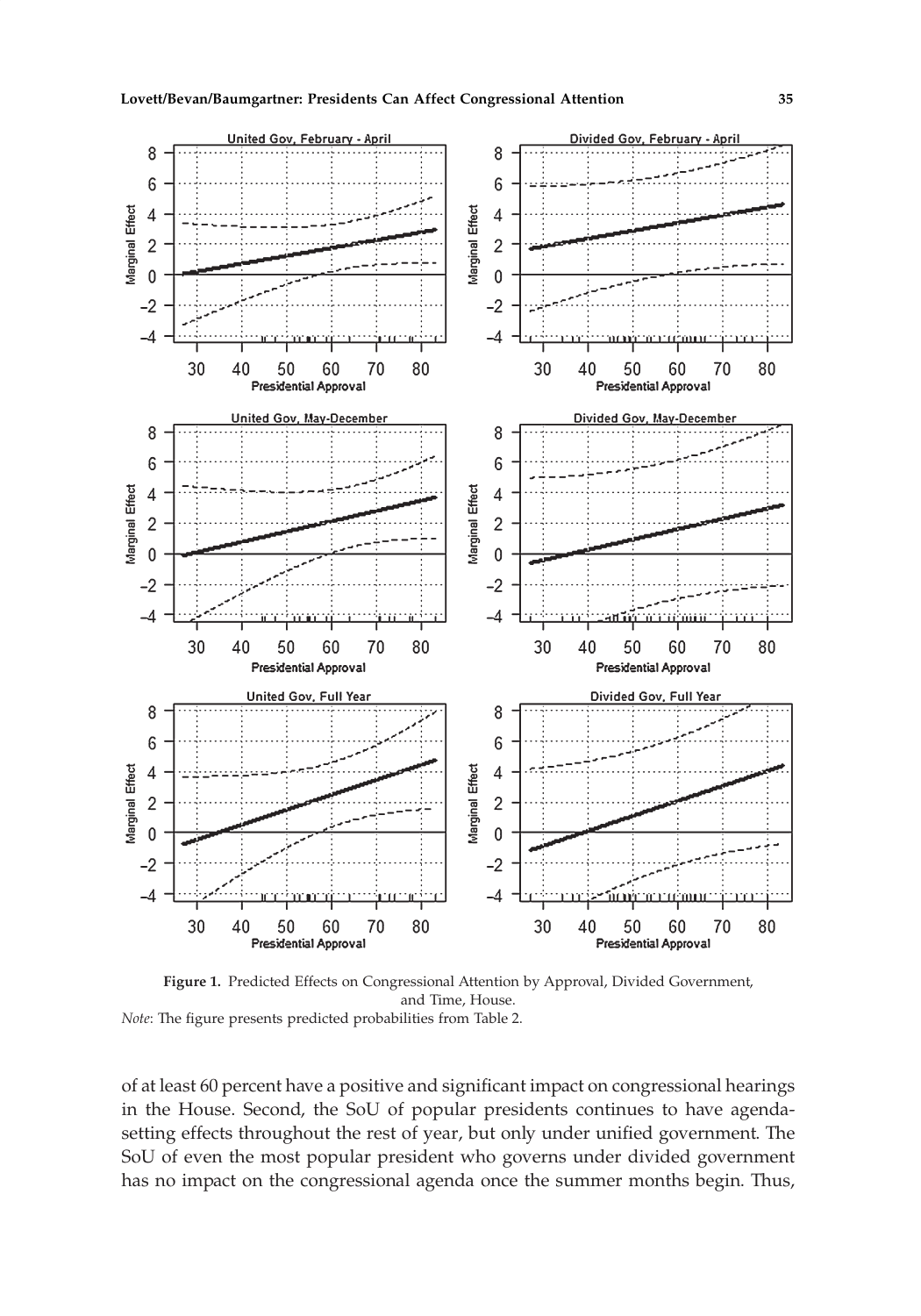

**Figure 1.** Predicted Effects on Congressional Attention by Approval, Divided Government, and Time, House. *Note*: The figure presents predicted probabilities from Table 2.

of at least 60 percent have a positive and significant impact on congressional hearings in the House. Second, the SoU of popular presidents continues to have agendasetting effects throughout the rest of year, but only under unified government. The SoU of even the most popular president who governs under divided government has no impact on the congressional agenda once the summer months begin. Thus,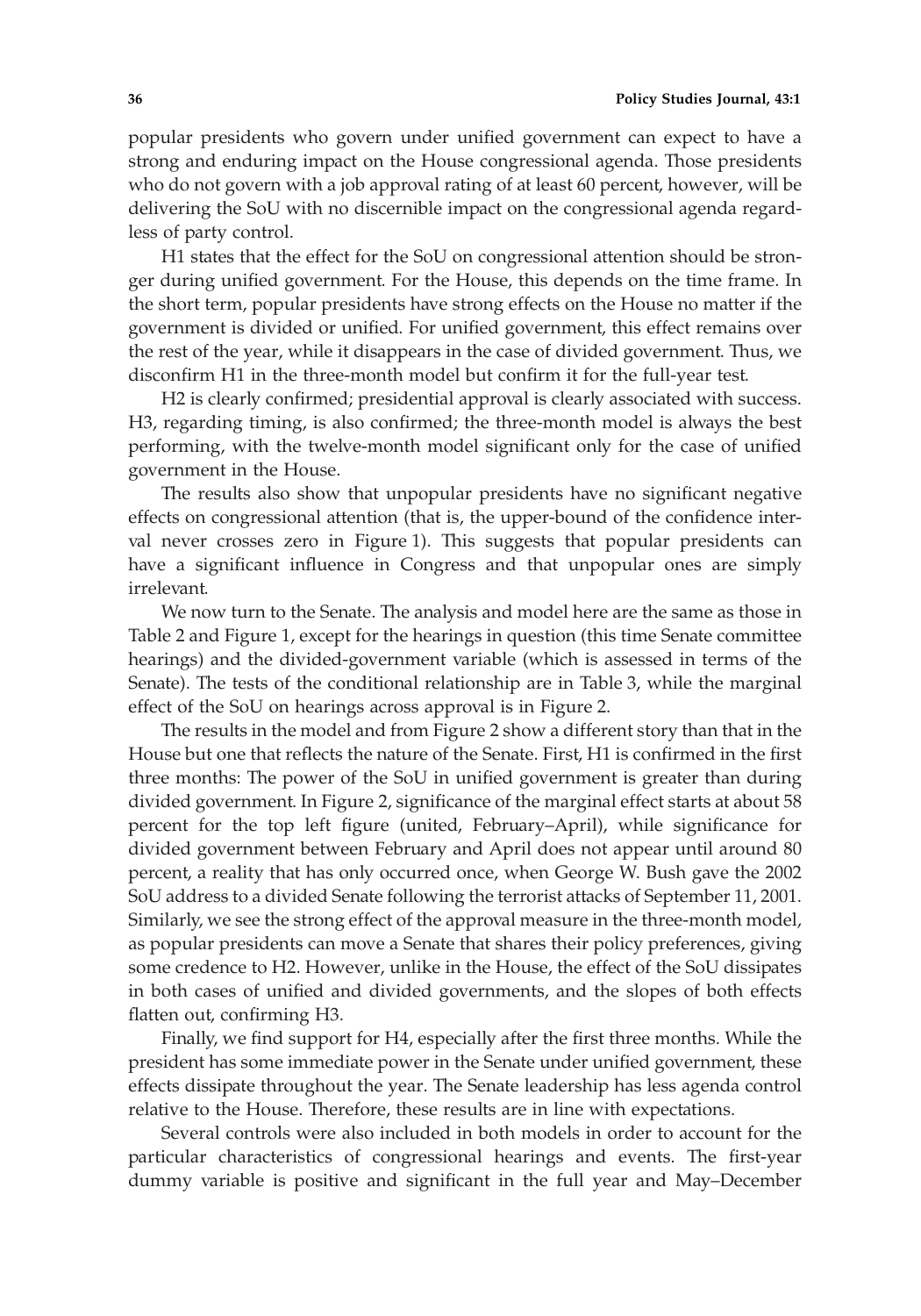popular presidents who govern under unified government can expect to have a strong and enduring impact on the House congressional agenda. Those presidents who do not govern with a job approval rating of at least 60 percent, however, will be delivering the SoU with no discernible impact on the congressional agenda regardless of party control.

H1 states that the effect for the SoU on congressional attention should be stronger during unified government. For the House, this depends on the time frame. In the short term, popular presidents have strong effects on the House no matter if the government is divided or unified. For unified government, this effect remains over the rest of the year, while it disappears in the case of divided government. Thus, we disconfirm H1 in the three-month model but confirm it for the full-year test.

H2 is clearly confirmed; presidential approval is clearly associated with success. H3, regarding timing, is also confirmed; the three-month model is always the best performing, with the twelve-month model significant only for the case of unified government in the House.

The results also show that unpopular presidents have no significant negative effects on congressional attention (that is, the upper-bound of the confidence interval never crosses zero in Figure 1). This suggests that popular presidents can have a significant influence in Congress and that unpopular ones are simply irrelevant.

We now turn to the Senate. The analysis and model here are the same as those in Table 2 and Figure 1, except for the hearings in question (this time Senate committee hearings) and the divided-government variable (which is assessed in terms of the Senate). The tests of the conditional relationship are in Table 3, while the marginal effect of the SoU on hearings across approval is in Figure 2.

The results in the model and from Figure 2 show a different story than that in the House but one that reflects the nature of the Senate. First, H1 is confirmed in the first three months: The power of the SoU in unified government is greater than during divided government. In Figure 2, significance of the marginal effect starts at about 58 percent for the top left figure (united, February–April), while significance for divided government between February and April does not appear until around 80 percent, a reality that has only occurred once, when George W. Bush gave the 2002 SoU address to a divided Senate following the terrorist attacks of September 11, 2001. Similarly, we see the strong effect of the approval measure in the three-month model, as popular presidents can move a Senate that shares their policy preferences, giving some credence to H2. However, unlike in the House, the effect of the SoU dissipates in both cases of unified and divided governments, and the slopes of both effects flatten out, confirming H3.

Finally, we find support for H4, especially after the first three months. While the president has some immediate power in the Senate under unified government, these effects dissipate throughout the year. The Senate leadership has less agenda control relative to the House. Therefore, these results are in line with expectations.

Several controls were also included in both models in order to account for the particular characteristics of congressional hearings and events. The first-year dummy variable is positive and significant in the full year and May–December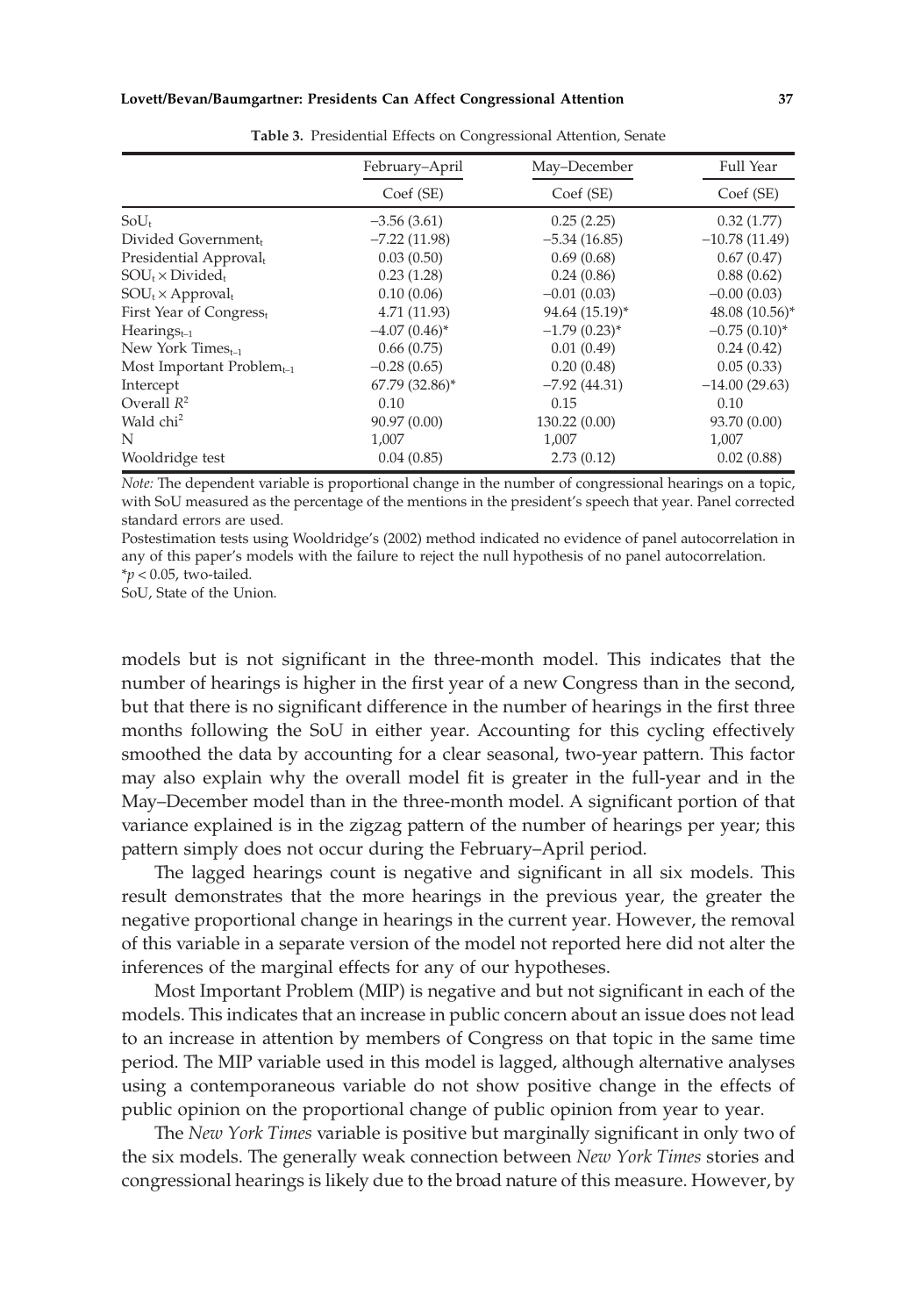|                                 | February-April  | May-December    | Full Year         |
|---------------------------------|-----------------|-----------------|-------------------|
|                                 | Coef (SE)       | Coef (SE)       | Coef (SE)         |
| $SoU_{t}$                       | $-3.56(3.61)$   | 0.25(2.25)      | 0.32(1.77)        |
| Divided Government,             | $-7.22(11.98)$  | $-5.34(16.85)$  | $-10.78(11.49)$   |
| Presidential Approval           | 0.03(0.50)      | 0.69(0.68)      | 0.67(0.47)        |
| $SOU_{t} \times Divided_{t}$    | 0.23(1.28)      | 0.24(0.86)      | 0.88(0.62)        |
| $SOU_t \times Approval_t$       | 0.10(0.06)      | $-0.01(0.03)$   | $-0.00(0.03)$     |
| First Year of Congresst         | 4.71 (11.93)    | 94.64 (15.19)*  | 48.08 (10.56)*    |
| $Hearings_{t-1}$                | $-4.07(0.46)$ * | $-1.79(0.23)$ * | $-0.75(0.10)^{*}$ |
| New York Times $_{t-1}$         | 0.66(0.75)      | 0.01(0.49)      | 0.24(0.42)        |
| Most Important Problem $_{t-1}$ | $-0.28(0.65)$   | 0.20(0.48)      | 0.05(0.33)        |
| Intercept                       | 67.79 (32.86)*  | $-7.92(44.31)$  | $-14.00(29.63)$   |
| Overall $R^2$                   | 0.10            | 0.15            | 0.10              |
| Wald chi <sup>2</sup>           | 90.97 (0.00)    | 130.22 (0.00)   | 93.70 (0.00)      |
| N                               | 1,007           | 1,007           | 1,007             |
| Wooldridge test                 | 0.04(0.85)      | 2.73(0.12)      | 0.02(0.88)        |

**Table 3.** Presidential Effects on Congressional Attention, Senate

*Note:* The dependent variable is proportional change in the number of congressional hearings on a topic, with SoU measured as the percentage of the mentions in the president's speech that year. Panel corrected standard errors are used.

Postestimation tests using Wooldridge's (2002) method indicated no evidence of panel autocorrelation in any of this paper's models with the failure to reject the null hypothesis of no panel autocorrelation. \**p* < 0.05, two-tailed.

SoU, State of the Union.

models but is not significant in the three-month model. This indicates that the number of hearings is higher in the first year of a new Congress than in the second, but that there is no significant difference in the number of hearings in the first three months following the SoU in either year. Accounting for this cycling effectively smoothed the data by accounting for a clear seasonal, two-year pattern. This factor may also explain why the overall model fit is greater in the full-year and in the May–December model than in the three-month model. A significant portion of that variance explained is in the zigzag pattern of the number of hearings per year; this pattern simply does not occur during the February–April period.

The lagged hearings count is negative and significant in all six models. This result demonstrates that the more hearings in the previous year, the greater the negative proportional change in hearings in the current year. However, the removal of this variable in a separate version of the model not reported here did not alter the inferences of the marginal effects for any of our hypotheses.

Most Important Problem (MIP) is negative and but not significant in each of the models. This indicates that an increase in public concern about an issue does not lead to an increase in attention by members of Congress on that topic in the same time period. The MIP variable used in this model is lagged, although alternative analyses using a contemporaneous variable do not show positive change in the effects of public opinion on the proportional change of public opinion from year to year.

The *New York Times* variable is positive but marginally significant in only two of the six models. The generally weak connection between *New York Times* stories and congressional hearings is likely due to the broad nature of this measure. However, by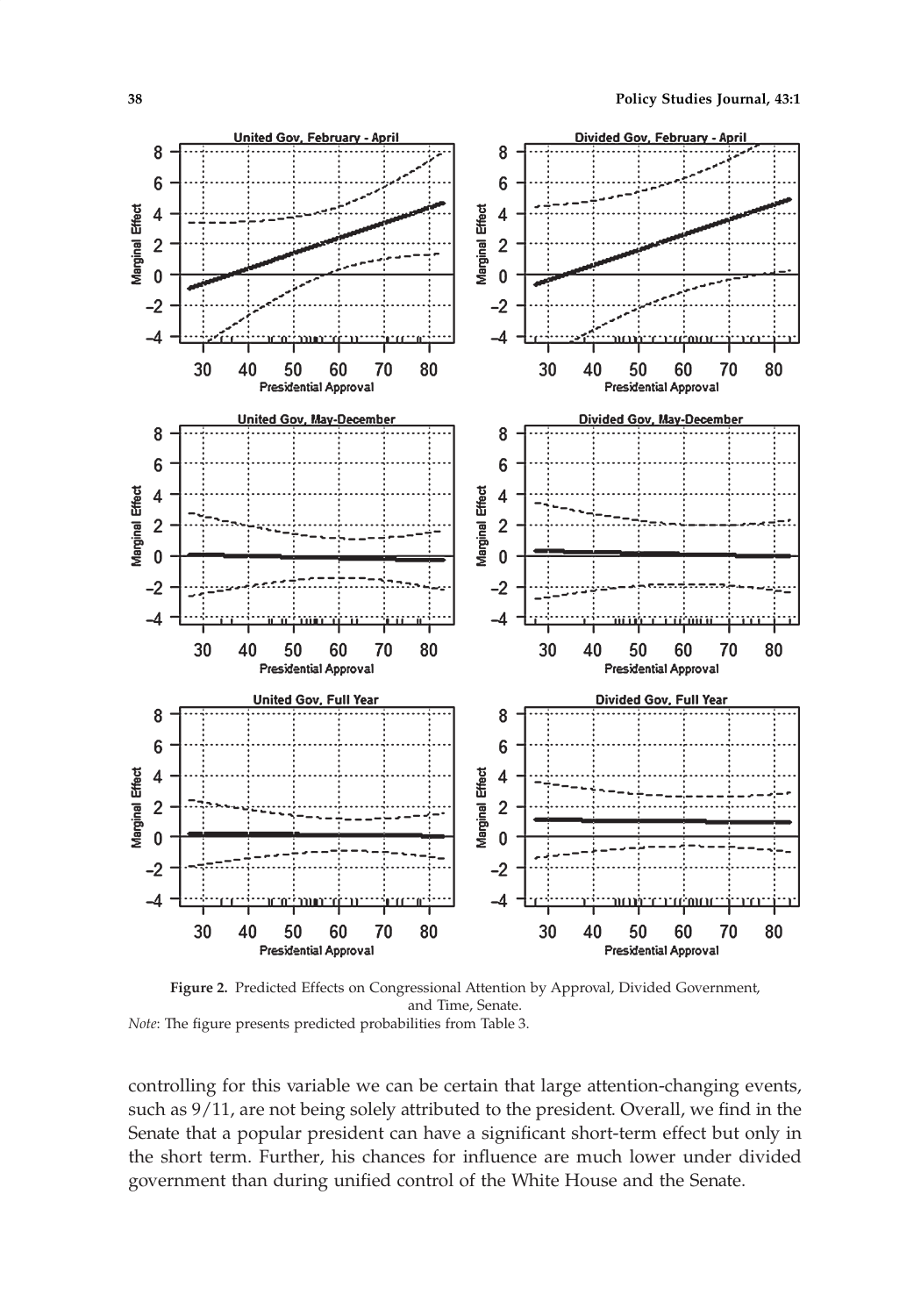

**Figure 2.** Predicted Effects on Congressional Attention by Approval, Divided Government, and Time, Senate. *Note*: The figure presents predicted probabilities from Table 3.

controlling for this variable we can be certain that large attention-changing events, such as 9/11, are not being solely attributed to the president. Overall, we find in the Senate that a popular president can have a significant short-term effect but only in the short term. Further, his chances for influence are much lower under divided government than during unified control of the White House and the Senate.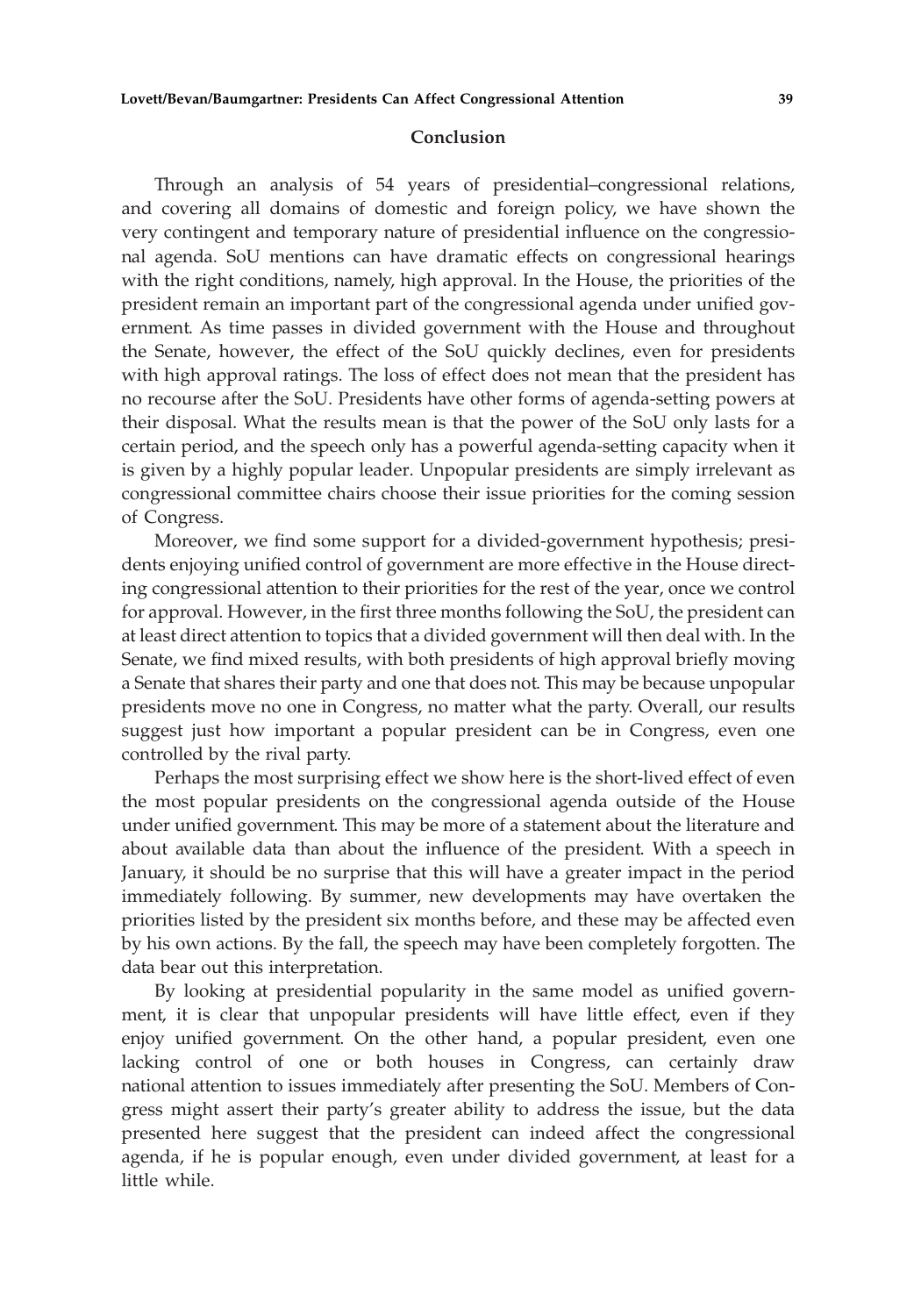#### **Conclusion**

Through an analysis of 54 years of presidential–congressional relations, and covering all domains of domestic and foreign policy, we have shown the very contingent and temporary nature of presidential influence on the congressional agenda. SoU mentions can have dramatic effects on congressional hearings with the right conditions, namely, high approval. In the House, the priorities of the president remain an important part of the congressional agenda under unified government. As time passes in divided government with the House and throughout the Senate, however, the effect of the SoU quickly declines, even for presidents with high approval ratings. The loss of effect does not mean that the president has no recourse after the SoU. Presidents have other forms of agenda-setting powers at their disposal. What the results mean is that the power of the SoU only lasts for a certain period, and the speech only has a powerful agenda-setting capacity when it is given by a highly popular leader. Unpopular presidents are simply irrelevant as congressional committee chairs choose their issue priorities for the coming session of Congress.

Moreover, we find some support for a divided-government hypothesis; presidents enjoying unified control of government are more effective in the House directing congressional attention to their priorities for the rest of the year, once we control for approval. However, in the first three months following the SoU, the president can at least direct attention to topics that a divided government will then deal with. In the Senate, we find mixed results, with both presidents of high approval briefly moving a Senate that shares their party and one that does not. This may be because unpopular presidents move no one in Congress, no matter what the party. Overall, our results suggest just how important a popular president can be in Congress, even one controlled by the rival party.

Perhaps the most surprising effect we show here is the short-lived effect of even the most popular presidents on the congressional agenda outside of the House under unified government. This may be more of a statement about the literature and about available data than about the influence of the president. With a speech in January, it should be no surprise that this will have a greater impact in the period immediately following. By summer, new developments may have overtaken the priorities listed by the president six months before, and these may be affected even by his own actions. By the fall, the speech may have been completely forgotten. The data bear out this interpretation.

By looking at presidential popularity in the same model as unified government, it is clear that unpopular presidents will have little effect, even if they enjoy unified government. On the other hand, a popular president, even one lacking control of one or both houses in Congress, can certainly draw national attention to issues immediately after presenting the SoU. Members of Congress might assert their party's greater ability to address the issue, but the data presented here suggest that the president can indeed affect the congressional agenda, if he is popular enough, even under divided government, at least for a little while.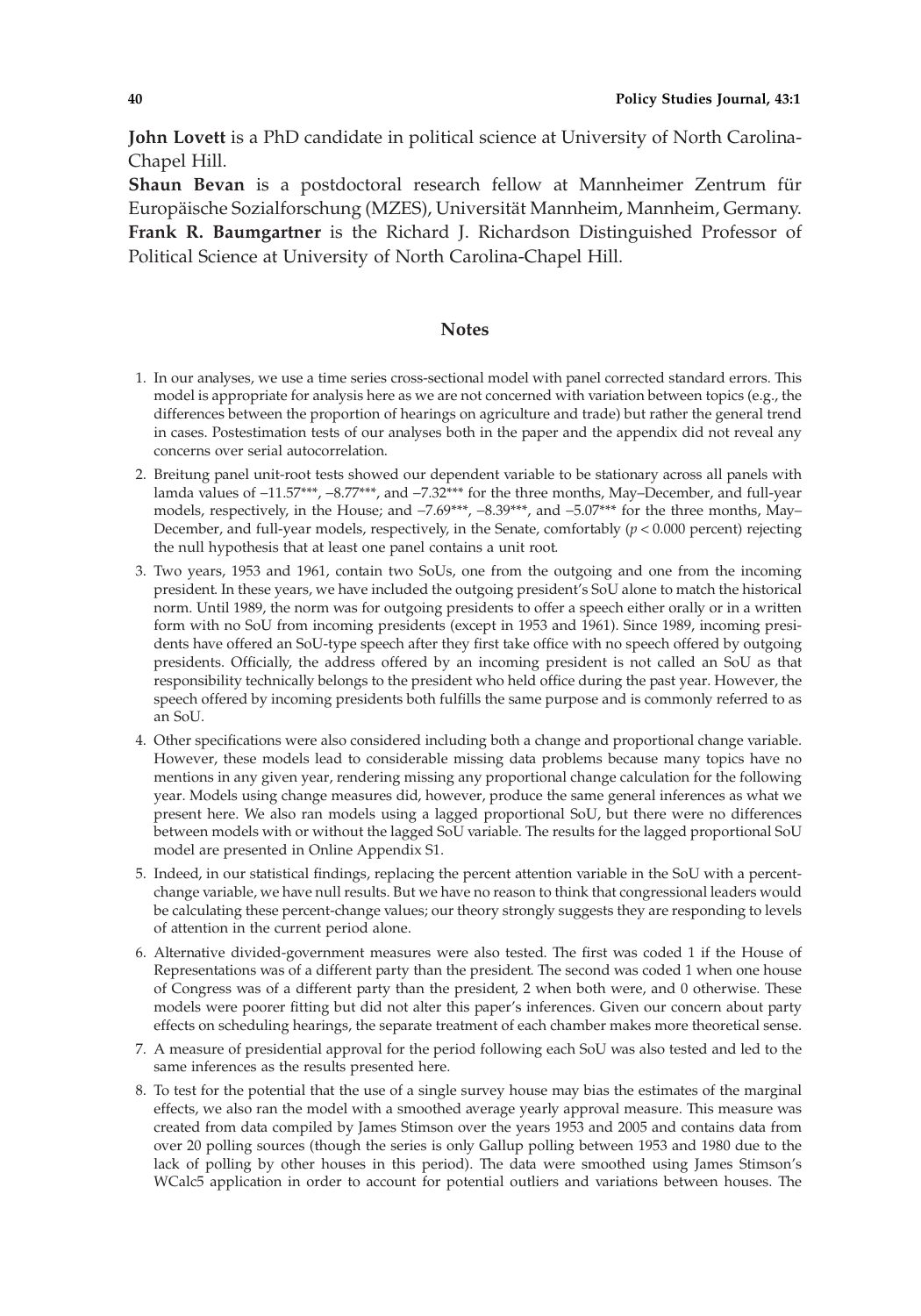**John Lovett** is a PhD candidate in political science at University of North Carolina-Chapel Hill.

**Shaun Bevan** is a postdoctoral research fellow at Mannheimer Zentrum für Europäische Sozialforschung (MZES), Universität Mannheim, Mannheim, Germany. **Frank R. Baumgartner** is the Richard J. Richardson Distinguished Professor of Political Science at University of North Carolina-Chapel Hill.

## **Notes**

- 1. In our analyses, we use a time series cross-sectional model with panel corrected standard errors. This model is appropriate for analysis here as we are not concerned with variation between topics (e.g., the differences between the proportion of hearings on agriculture and trade) but rather the general trend in cases. Postestimation tests of our analyses both in the paper and the appendix did not reveal any concerns over serial autocorrelation.
- 2. Breitung panel unit-root tests showed our dependent variable to be stationary across all panels with lamda values of −11.57\*\*\*, −8.77\*\*\*, and −7.32\*\*\* for the three months, May–December, and full-year models, respectively, in the House; and −7.69\*\*\*, −8.39\*\*\*, and −5.07\*\*\* for the three months, May– December, and full-year models, respectively, in the Senate, comfortably (*p* < 0.000 percent) rejecting the null hypothesis that at least one panel contains a unit root.
- 3. Two years, 1953 and 1961, contain two SoUs, one from the outgoing and one from the incoming president. In these years, we have included the outgoing president's SoU alone to match the historical norm. Until 1989, the norm was for outgoing presidents to offer a speech either orally or in a written form with no SoU from incoming presidents (except in 1953 and 1961). Since 1989, incoming presidents have offered an SoU-type speech after they first take office with no speech offered by outgoing presidents. Officially, the address offered by an incoming president is not called an SoU as that responsibility technically belongs to the president who held office during the past year. However, the speech offered by incoming presidents both fulfills the same purpose and is commonly referred to as an SoU.
- 4. Other specifications were also considered including both a change and proportional change variable. However, these models lead to considerable missing data problems because many topics have no mentions in any given year, rendering missing any proportional change calculation for the following year. Models using change measures did, however, produce the same general inferences as what we present here. We also ran models using a lagged proportional SoU, but there were no differences between models with or without the lagged SoU variable. The results for the lagged proportional SoU model are presented in Online Appendix S1.
- 5. Indeed, in our statistical findings, replacing the percent attention variable in the SoU with a percentchange variable, we have null results. But we have no reason to think that congressional leaders would be calculating these percent-change values; our theory strongly suggests they are responding to levels of attention in the current period alone.
- 6. Alternative divided-government measures were also tested. The first was coded 1 if the House of Representations was of a different party than the president. The second was coded 1 when one house of Congress was of a different party than the president, 2 when both were, and 0 otherwise. These models were poorer fitting but did not alter this paper's inferences. Given our concern about party effects on scheduling hearings, the separate treatment of each chamber makes more theoretical sense.
- 7. A measure of presidential approval for the period following each SoU was also tested and led to the same inferences as the results presented here.
- 8. To test for the potential that the use of a single survey house may bias the estimates of the marginal effects, we also ran the model with a smoothed average yearly approval measure. This measure was created from data compiled by James Stimson over the years 1953 and 2005 and contains data from over 20 polling sources (though the series is only Gallup polling between 1953 and 1980 due to the lack of polling by other houses in this period). The data were smoothed using James Stimson's WCalc5 application in order to account for potential outliers and variations between houses. The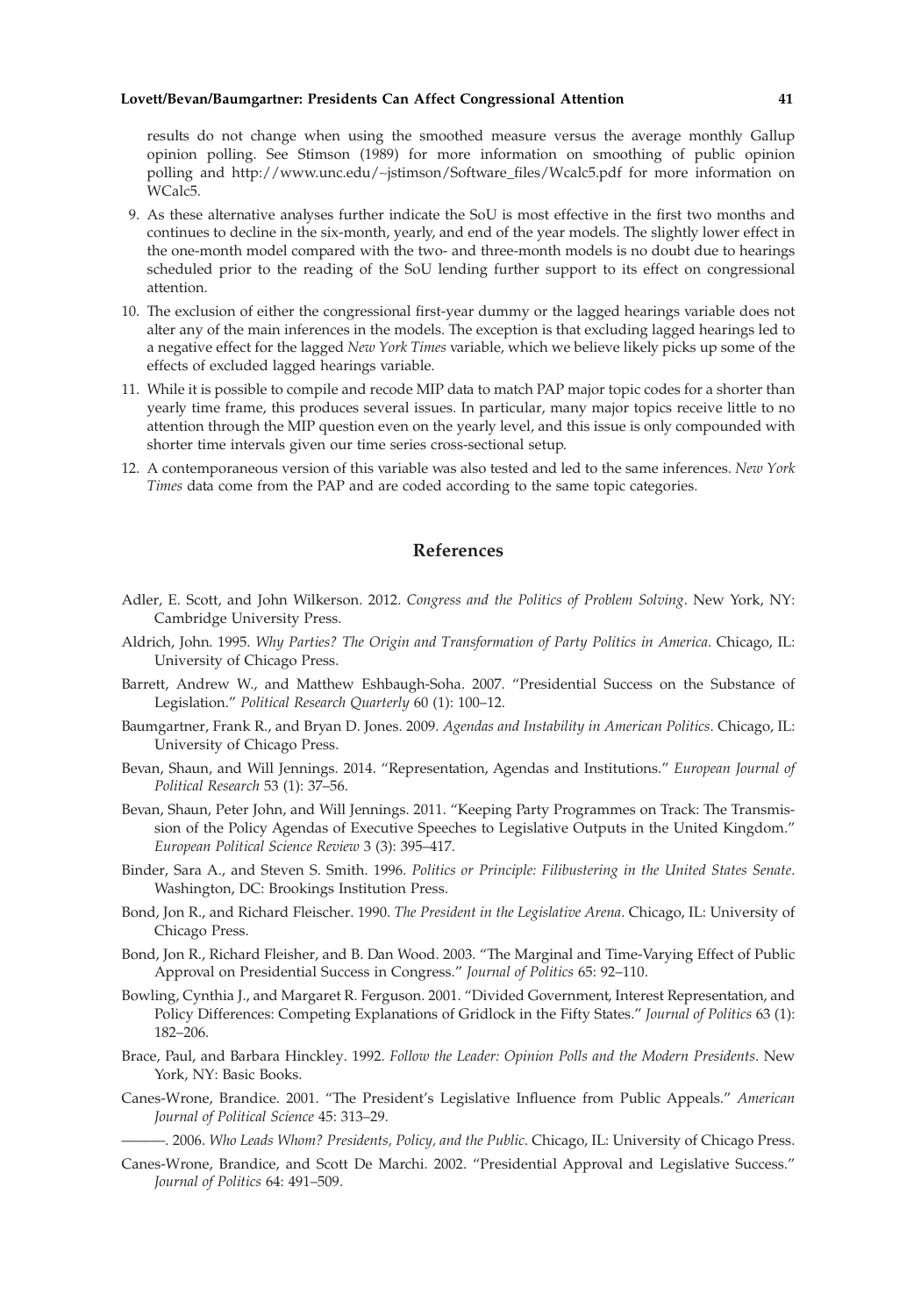results do not change when using the smoothed measure versus the average monthly Gallup opinion polling. See Stimson (1989) for more information on smoothing of public opinion polling and http://www.unc.edu/∼jstimson/Software\_files/Wcalc5.pdf for more information on WCalc5.

- 9. As these alternative analyses further indicate the SoU is most effective in the first two months and continues to decline in the six-month, yearly, and end of the year models. The slightly lower effect in the one-month model compared with the two- and three-month models is no doubt due to hearings scheduled prior to the reading of the SoU lending further support to its effect on congressional attention.
- 10. The exclusion of either the congressional first-year dummy or the lagged hearings variable does not alter any of the main inferences in the models. The exception is that excluding lagged hearings led to a negative effect for the lagged *New York Times* variable, which we believe likely picks up some of the effects of excluded lagged hearings variable.
- 11. While it is possible to compile and recode MIP data to match PAP major topic codes for a shorter than yearly time frame, this produces several issues. In particular, many major topics receive little to no attention through the MIP question even on the yearly level, and this issue is only compounded with shorter time intervals given our time series cross-sectional setup.
- 12. A contemporaneous version of this variable was also tested and led to the same inferences. *New York Times* data come from the PAP and are coded according to the same topic categories.

### **References**

- Adler, E. Scott, and John Wilkerson. 2012. *Congress and the Politics of Problem Solving*. New York, NY: Cambridge University Press.
- Aldrich, John. 1995. *Why Parties? The Origin and Transformation of Party Politics in America*. Chicago, IL: University of Chicago Press.
- Barrett, Andrew W., and Matthew Eshbaugh-Soha. 2007. "Presidential Success on the Substance of Legislation." *Political Research Quarterly* 60 (1): 100–12.
- Baumgartner, Frank R., and Bryan D. Jones. 2009. *Agendas and Instability in American Politics*. Chicago, IL: University of Chicago Press.
- Bevan, Shaun, and Will Jennings. 2014. "Representation, Agendas and Institutions." *European Journal of Political Research* 53 (1): 37–56.
- Bevan, Shaun, Peter John, and Will Jennings. 2011. "Keeping Party Programmes on Track: The Transmission of the Policy Agendas of Executive Speeches to Legislative Outputs in the United Kingdom." *European Political Science Review* 3 (3): 395–417.
- Binder, Sara A., and Steven S. Smith. 1996. *Politics or Principle: Filibustering in the United States Senate*. Washington, DC: Brookings Institution Press.
- Bond, Jon R., and Richard Fleischer. 1990. *The President in the Legislative Arena*. Chicago, IL: University of Chicago Press.
- Bond, Jon R., Richard Fleisher, and B. Dan Wood. 2003. "The Marginal and Time-Varying Effect of Public Approval on Presidential Success in Congress." *Journal of Politics* 65: 92–110.
- Bowling, Cynthia J., and Margaret R. Ferguson. 2001. "Divided Government, Interest Representation, and Policy Differences: Competing Explanations of Gridlock in the Fifty States." *Journal of Politics* 63 (1): 182–206.
- Brace, Paul, and Barbara Hinckley. 1992. *Follow the Leader: Opinion Polls and the Modern Presidents*. New York, NY: Basic Books.
- Canes-Wrone, Brandice. 2001. "The President's Legislative Influence from Public Appeals." *American Journal of Political Science* 45: 313–29.

———. 2006. *Who Leads Whom? Presidents, Policy, and the Public*. Chicago, IL: University of Chicago Press.

Canes-Wrone, Brandice, and Scott De Marchi. 2002. "Presidential Approval and Legislative Success." *Journal of Politics* 64: 491–509.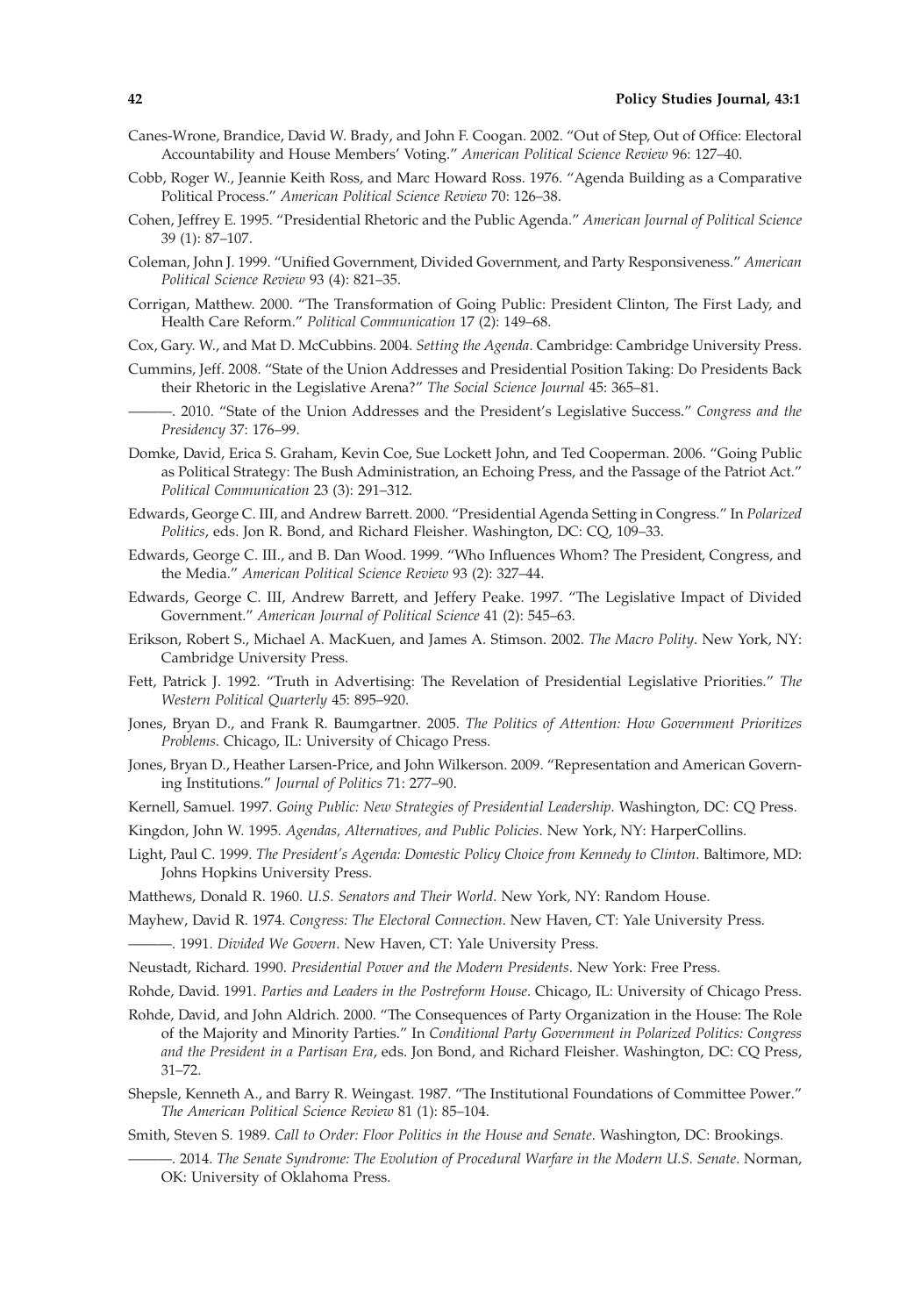- Canes-Wrone, Brandice, David W. Brady, and John F. Coogan. 2002. "Out of Step, Out of Office: Electoral Accountability and House Members' Voting." *American Political Science Review* 96: 127–40.
- Cobb, Roger W., Jeannie Keith Ross, and Marc Howard Ross. 1976. "Agenda Building as a Comparative Political Process." *American Political Science Review* 70: 126–38.
- Cohen, Jeffrey E. 1995. "Presidential Rhetoric and the Public Agenda." *American Journal of Political Science* 39 (1): 87–107.
- Coleman, John J. 1999. "Unified Government, Divided Government, and Party Responsiveness." *American Political Science Review* 93 (4): 821–35.
- Corrigan, Matthew. 2000. "The Transformation of Going Public: President Clinton, The First Lady, and Health Care Reform." *Political Communication* 17 (2): 149–68.
- Cox, Gary. W., and Mat D. McCubbins. 2004. *Setting the Agenda*. Cambridge: Cambridge University Press.
- Cummins, Jeff. 2008. "State of the Union Addresses and Presidential Position Taking: Do Presidents Back their Rhetoric in the Legislative Arena?" *The Social Science Journal* 45: 365–81.
- ———. 2010. "State of the Union Addresses and the President's Legislative Success." *Congress and the Presidency* 37: 176–99.
- Domke, David, Erica S. Graham, Kevin Coe, Sue Lockett John, and Ted Cooperman. 2006. "Going Public as Political Strategy: The Bush Administration, an Echoing Press, and the Passage of the Patriot Act." *Political Communication* 23 (3): 291–312.
- Edwards, George C. III, and Andrew Barrett. 2000. "Presidential Agenda Setting in Congress." In *Polarized Politics*, eds. Jon R. Bond, and Richard Fleisher. Washington, DC: CQ, 109–33.
- Edwards, George C. III., and B. Dan Wood. 1999. "Who Influences Whom? The President, Congress, and the Media." *American Political Science Review* 93 (2): 327–44.
- Edwards, George C. III, Andrew Barrett, and Jeffery Peake. 1997. "The Legislative Impact of Divided Government." *American Journal of Political Science* 41 (2): 545–63.
- Erikson, Robert S., Michael A. MacKuen, and James A. Stimson. 2002. *The Macro Polity*. New York, NY: Cambridge University Press.
- Fett, Patrick J. 1992. "Truth in Advertising: The Revelation of Presidential Legislative Priorities." *The Western Political Quarterly* 45: 895–920.
- Jones, Bryan D., and Frank R. Baumgartner. 2005. *The Politics of Attention: How Government Prioritizes Problems*. Chicago, IL: University of Chicago Press.
- Jones, Bryan D., Heather Larsen-Price, and John Wilkerson. 2009. "Representation and American Governing Institutions." *Journal of Politics* 71: 277–90.
- Kernell, Samuel. 1997. *Going Public: New Strategies of Presidential Leadership*. Washington, DC: CQ Press.
- Kingdon, John W. 1995. *Agendas, Alternatives, and Public Policies*. New York, NY: HarperCollins.
- Light, Paul C. 1999. *The President's Agenda: Domestic Policy Choice from Kennedy to Clinton*. Baltimore, MD: Johns Hopkins University Press.
- Matthews, Donald R. 1960. *U.S. Senators and Their World*. New York, NY: Random House.
- Mayhew, David R. 1974. *Congress: The Electoral Connection*. New Haven, CT: Yale University Press.
- ———. 1991. *Divided We Govern*. New Haven, CT: Yale University Press.
- Neustadt, Richard. 1990. *Presidential Power and the Modern Presidents*. New York: Free Press.
- Rohde, David. 1991. *Parties and Leaders in the Postreform House*. Chicago, IL: University of Chicago Press.
- Rohde, David, and John Aldrich. 2000. "The Consequences of Party Organization in the House: The Role of the Majority and Minority Parties." In *Conditional Party Government in Polarized Politics: Congress and the President in a Partisan Era*, eds. Jon Bond, and Richard Fleisher. Washington, DC: CQ Press, 31–72.
- Shepsle, Kenneth A., and Barry R. Weingast. 1987. "The Institutional Foundations of Committee Power." *The American Political Science Review* 81 (1): 85–104.

Smith, Steven S. 1989. *Call to Order: Floor Politics in the House and Senate*. Washington, DC: Brookings.

———. 2014. *The Senate Syndrome: The Evolution of Procedural Warfare in the Modern U.S. Senate*. Norman, OK: University of Oklahoma Press.